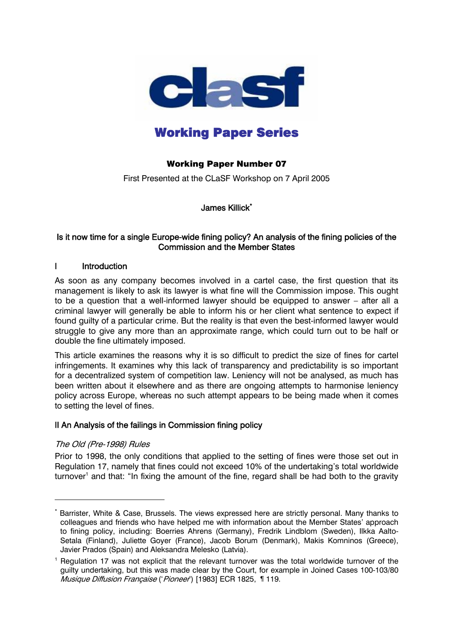

# Working Paper Series

## Working Paper Number 07

First Presented at the CLaSF Workshop on 7 April 2005

James Killick[\\*](#page-0-0)

## Is it now time for a single Europe-wide fining policy? An analysis of the fining policies of the Commission and the Member States

## I Introduction

As soon as any company becomes involved in a cartel case, the first question that its management is likely to ask its lawyer is what fine will the Commission impose. This ought to be a question that a well-informed lawyer should be equipped to answer – after all a criminal lawyer will generally be able to inform his or her client what sentence to expect if found guilty of a particular crime. But the reality is that even the best-informed lawyer would struggle to give any more than an approximate range, which could turn out to be half or double the fine ultimately imposed.

This article examines the reasons why it is so difficult to predict the size of fines for cartel infringements. It examines why this lack of transparency and predictability is so important for a decentralized system of competition law. Leniency will not be analysed, as much has been written about it elsewhere and as there are ongoing attempts to harmonise leniency policy across Europe, whereas no such attempt appears to be being made when it comes to setting the level of fines.

## II An Analysis of the failings in Commission fining policy

## The Old (Pre-1998) Rules

 $\overline{a}$ 

Prior to 1998, the only conditions that applied to the setting of fines were those set out in Regulation 17, namely that fines could not exceed 10% of the undertaking's total worldwide turnover<sup>[1](#page-0-1)</sup> and that: "In fixing the amount of the fine, regard shall be had both to the gravity

<span id="page-0-0"></span><sup>\*</sup> Barrister, White & Case, Brussels. The views expressed here are strictly personal. Many thanks to colleagues and friends who have helped me with information about the Member States' approach to fining policy, including: Boerries Ahrens (Germany), Fredrik Lindblom (Sweden), Ilkka Aalto-Setala (Finland), Juliette Goyer (France), Jacob Borum (Denmark), Makis Komninos (Greece), Javier Prados (Spain) and Aleksandra Melesko (Latvia).

<span id="page-0-1"></span><sup>&</sup>lt;sup>1</sup> Regulation 17 was not explicit that the relevant turnover was the total worldwide turnover of the guilty undertaking, but this was made clear by the Court, for example in Joined Cases 100-103/80 Musique Diffusion Française ('Pioneer') [1983] ECR 1825, ¶ 119.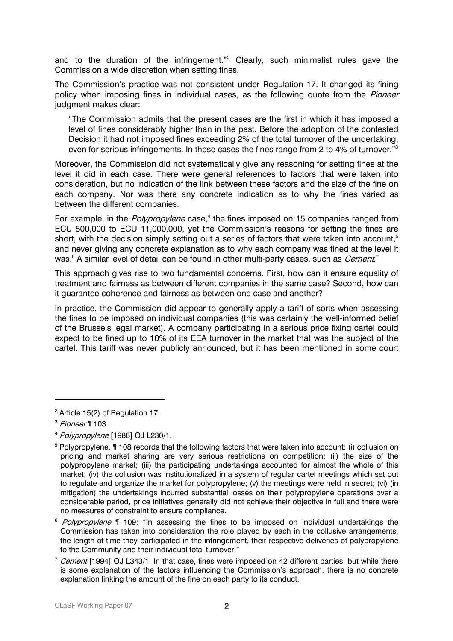and to the duration of the infringement."<sup>2</sup> Clearly, such minimalist rules gave the Commission a wide discretion when setting fines.

The Commission's practice was not consistent under Regulation 17. It changed its fining policy when imposing fines in individual cases, as the following quote from the *Pioneer* judgment makes clear:

"The Commission admits that the present cases are the first in which it has imposed a level of fines considerably higher than in the past. Before the adoption of the contested Decision it had not imposed fines exceeding 2% of the total turnover of the undertaking, even for serious infringements. In these cases the fines range from 2 to 4% of turnover.<sup>["3](#page-1-1)</sup>

Moreover, the Commission did not systematically give any reasoning for setting fines at the level it did in each case. There were general references to factors that were taken into consideration, but no indication of the link between these factors and the size of the fine on each company. Nor was there any concrete indication as to why the fines varied as between the different companies.

For example, in the *Polypropylene* case,<sup>[4](#page-1-2)</sup> the fines imposed on 15 companies ranged from ECU 500,000 to ECU 11,000,000, yet the Commission's reasons for setting the fines are short, with the decision simply setting out a series of factors that were taken into account,<sup>[5](#page-1-3)</sup> and never giving any concrete explanation as to why each company was fined at the level it was.<sup>[6](#page-1-4)</sup> A similar level of detail can be found in other multi-party cases, such as *Cement.*<sup>[7](#page-1-5)</sup>

This approach gives rise to two fundamental concerns. First, how can it ensure equality of treatment and fairness as between different companies in the same case? Second, how can it guarantee coherence and fairness as between one case and another?

In practice, the Commission did appear to generally apply a tariff of sorts when assessing the fines to be imposed on individual companies (this was certainly the well-informed belief of the Brussels legal market). A company participating in a serious price fixing cartel could expect to be fined up to 10% of its EEA turnover in the market that was the subject of the cartel. This tariff was never publicly announced, but it has been mentioned in some court

<span id="page-1-0"></span> $2$  Article 15(2) of Regulation 17.

<span id="page-1-1"></span><sup>3</sup> Pioneer ¶ 103.

<span id="page-1-2"></span><sup>4</sup> Polypropylene [1986] OJ L230/1.

<span id="page-1-3"></span><sup>&</sup>lt;sup>5</sup> Polypropylene, ¶ 108 records that the following factors that were taken into account: (i) collusion on pricing and market sharing are very serious restrictions on competition; (ii) the size of the polypropylene market; (iii) the participating undertakings accounted for almost the whole of this market; (iv) the collusion was institutionalized in a system of regular cartel meetings which set out to regulate and organize the market for polypropylene; (v) the meetings were held in secret; (vi) (in mitigation) the undertakings incurred substantial losses on their polypropylene operations over a considerable period, price initiatives generally did not achieve their objective in full and there were no measures of constraint to ensure compliance.

<span id="page-1-4"></span> $6$  Polypropylene  $\lll$  109: "In assessing the fines to be imposed on individual undertakings the Commission has taken into consideration the role played by each in the collusive arrangements, the length of time they participated in the infringement, their respective deliveries of polypropylene to the Community and their individual total turnover."

<span id="page-1-5"></span><sup>&</sup>lt;sup>7</sup> Cement [1994] OJ L343/1. In that case, fines were imposed on 42 different parties, but while there is some explanation of the factors influencing the Commission's approach, there is no concrete explanation linking the amount of the fine on each party to its conduct.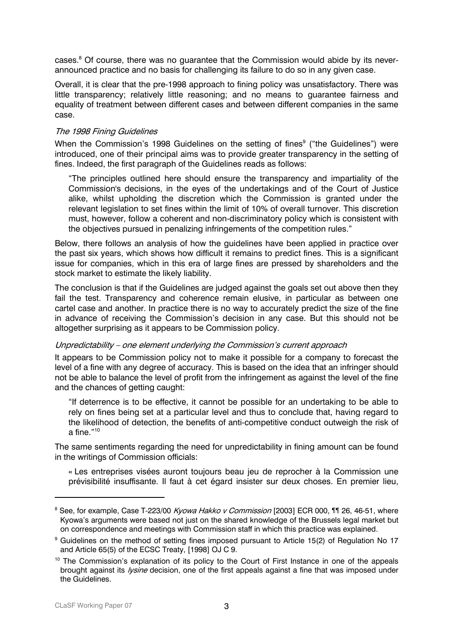cases.<sup>[8](#page-2-0)</sup> Of course, there was no guarantee that the Commission would abide by its neverannounced practice and no basis for challenging its failure to do so in any given case.

Overall, it is clear that the pre-1998 approach to fining policy was unsatisfactory. There was little transparency; relatively little reasoning; and no means to guarantee fairness and equality of treatment between different cases and between different companies in the same case.

#### The 1998 Fining Guidelines

When the Commission's 1998 Guidelines on the setting of fines<sup>9</sup> ("the Guidelines") were introduced, one of their principal aims was to provide greater transparency in the setting of fines. Indeed, the first paragraph of the Guidelines reads as follows:

"The principles outlined here should ensure the transparency and impartiality of the Commission's decisions, in the eyes of the undertakings and of the Court of Justice alike, whilst upholding the discretion which the Commission is granted under the relevant legislation to set fines within the limit of 10% of overall turnover. This discretion must, however, follow a coherent and non-discriminatory policy which is consistent with the objectives pursued in penalizing infringements of the competition rules."

Below, there follows an analysis of how the guidelines have been applied in practice over the past six years, which shows how difficult it remains to predict fines. This is a significant issue for companies, which in this era of large fines are pressed by shareholders and the stock market to estimate the likely liability.

The conclusion is that if the Guidelines are judged against the goals set out above then they fail the test. Transparency and coherence remain elusive, in particular as between one cartel case and another. In practice there is no way to accurately predict the size of the fine in advance of receiving the Commission's decision in any case. But this should not be altogether surprising as it appears to be Commission policy.

#### Unpredictability – one element underlying the Commission's current approach

It appears to be Commission policy not to make it possible for a company to forecast the level of a fine with any degree of accuracy. This is based on the idea that an infringer should not be able to balance the level of profit from the infringement as against the level of the fine and the chances of getting caught:

"If deterrence is to be effective, it cannot be possible for an undertaking to be able to rely on fines being set at a particular level and thus to conclude that, having regard to the likelihood of detection, the benefits of anti-competitive conduct outweigh the risk of a fine $"10$ 

The same sentiments regarding the need for unpredictability in fining amount can be found in the writings of Commission officials:

« Les entreprises visées auront toujours beau jeu de reprocher à la Commission une prévisibilité insuffisante. Il faut à cet égard insister sur deux choses. En premier lieu,

<span id="page-2-0"></span><sup>8</sup> See, for example, Case T-223/00 *Kyowa Hakko v Commission* [2003] ECR 000, ¶¶ 26, 46-51, where Kyowa's arguments were based not just on the shared knowledge of the Brussels legal market but on correspondence and meetings with Commission staff in which this practice was explained.

<span id="page-2-1"></span><sup>&</sup>lt;sup>9</sup> Guidelines on the method of setting fines imposed pursuant to Article 15(2) of Regulation No 17 and Article 65(5) of the ECSC Treaty, [1998] OJ C 9.

<span id="page-2-2"></span><sup>&</sup>lt;sup>10</sup> The Commission's explanation of its policy to the Court of First Instance in one of the appeals brought against its *lysine* decision, one of the first appeals against a fine that was imposed under the Guidelines.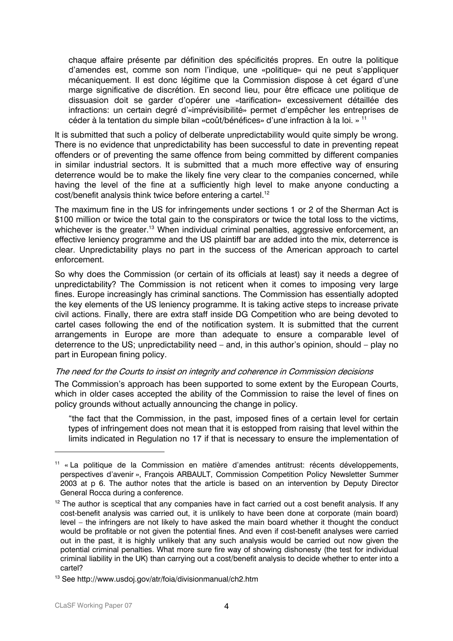chaque affaire présente par définition des spécificités propres. En outre la politique d'amendes est, comme son nom l'indique, une «politique» qui ne peut s'appliquer mécaniquement. Il est donc légitime que la Commission dispose à cet égard d'une marge significative de discrétion. En second lieu, pour être efficace une politique de dissuasion doit se garder d'opérer une «tarification» excessivement détaillée des infractions: un certain degré d'«imprévisibilité» permet d'empêcher les entreprises de céder à la tentation du simple bilan «coût/bénéfices» d'une infraction à la loi. » [11](#page-3-0)

It is submitted that such a policy of delberate unpredictability would quite simply be wrong. There is no evidence that unpredictability has been successful to date in preventing repeat offenders or of preventing the same offence from being committed by different companies in similar industrial sectors. It is submitted that a much more effective way of ensuring deterrence would be to make the likely fine very clear to the companies concerned, while having the level of the fine at a sufficiently high level to make anyone conducting a cost/benefit analysis think twice before entering a cartel.<sup>12</sup>

The maximum fine in the US for infringements under sections 1 or 2 of the Sherman Act is \$100 million or twice the total gain to the conspirators or twice the total loss to the victims, whichever is the greater.<sup>13</sup> When individual criminal penalties, aggressive enforcement, an effective leniency programme and the US plaintiff bar are added into the mix, deterrence is clear. Unpredictability plays no part in the success of the American approach to cartel enforcement.

So why does the Commission (or certain of its officials at least) say it needs a degree of unpredictability? The Commission is not reticent when it comes to imposing very large fines. Europe increasingly has criminal sanctions. The Commission has essentially adopted the key elements of the US leniency programme. It is taking active steps to increase private civil actions. Finally, there are extra staff inside DG Competition who are being devoted to cartel cases following the end of the notification system. It is submitted that the current arrangements in Europe are more than adequate to ensure a comparable level of deterrence to the US; unpredictability need – and, in this author's opinion, should – play no part in European fining policy.

#### The need for the Courts to insist on integrity and coherence in Commission decisions

The Commission's approach has been supported to some extent by the European Courts, which in older cases accepted the ability of the Commission to raise the level of fines on policy grounds without actually announcing the change in policy.

"the fact that the Commission, in the past, imposed fines of a certain level for certain types of infringement does not mean that it is estopped from raising that level within the limits indicated in Regulation no 17 if that is necessary to ensure the implementation of

<span id="page-3-0"></span><sup>11 «</sup> La politique de la Commission en matière d'amendes antitrust: récents développements, perspectives d'avenir », François ARBAULT, Commission Competition Policy Newsletter Summer 2003 at p 6. The author notes that the article is based on an intervention by Deputy Director General Rocca during a conference.

<span id="page-3-1"></span> $12$  The author is sceptical that any companies have in fact carried out a cost benefit analysis. If any cost-benefit analysis was carried out, it is unlikely to have been done at corporate (main board) level – the infringers are not likely to have asked the main board whether it thought the conduct would be profitable or not given the potential fines. And even if cost-benefit analyses were carried out in the past, it is highly unlikely that any such analysis would be carried out now given the potential criminal penalties. What more sure fire way of showing dishonesty (the test for individual criminal liability in the UK) than carrying out a cost/benefit analysis to decide whether to enter into a cartel?

<span id="page-3-2"></span><sup>13</sup> See http://www.usdoj.gov/atr/foia/divisionmanual/ch2.htm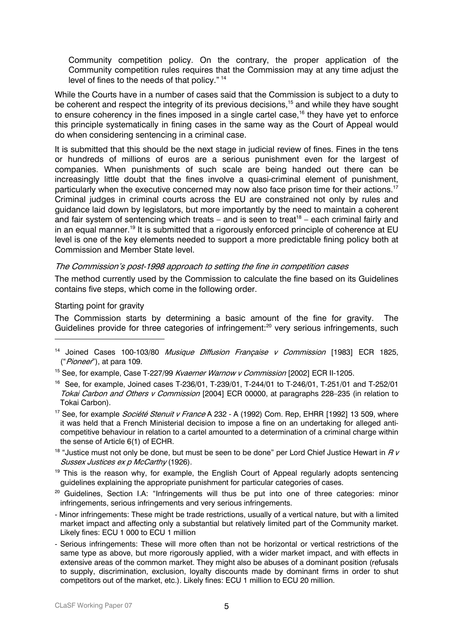Community competition policy. On the contrary, the proper application of the Community competition rules requires that the Commission may at any time adjust the level of fines to the needs of that policy." [14](#page-4-0)

While the Courts have in a number of cases said that the Commission is subject to a duty to be coherent and respect the integrity of its previous decisions.<sup>15</sup> and while they have sought to ensure coherency in the fines imposed in a single cartel case,<sup>16</sup> they have yet to enforce this principle systematically in fining cases in the same way as the Court of Appeal would do when considering sentencing in a criminal case.

It is submitted that this should be the next stage in judicial review of fines. Fines in the tens or hundreds of millions of euros are a serious punishment even for the largest of companies. When punishments of such scale are being handed out there can be increasingly little doubt that the fines involve a quasi-criminal element of punishment, particularly when the executive concerned may now also face prison time for their actions.<sup>[17](#page-4-3)</sup> Criminal judges in criminal courts across the EU are constrained not only by rules and guidance laid down by legislators, but more importantly by the need to maintain a coherent and fair system of sentencing which treats – and is seen to treat<sup>18</sup> – each criminal fairly and in an equal manner.<sup>19</sup> It is submitted that a rigorously enforced principle of coherence at EU level is one of the key elements needed to support a more predictable fining policy both at Commission and Member State level.

#### The Commission's post-1998 approach to setting the fine in competition cases

The method currently used by the Commission to calculate the fine based on its Guidelines contains five steps, which come in the following order.

## Starting point for gravity

 $\overline{a}$ 

The Commission starts by determining a basic amount of the fine for gravity. The Guidelines provide for three categories of infringement:<sup>20</sup> very serious infringements, such

- <span id="page-4-2"></span>16 See, for example, Joined cases T-236/01, T-239/01, T-244/01 to T-246/01, T-251/01 and T-252/01 Tokai Carbon and Others v Commission [2004] ECR 00000, at paragraphs 228-235 (in relation to Tokai Carbon).
- <span id="page-4-3"></span><sup>17</sup> See, for example *Société Stenuit v France* A 232 - A (1992) Com. Rep, EHRR [1992] 13 509, where it was held that a French Ministerial decision to impose a fine on an undertaking for alleged anticompetitive behaviour in relation to a cartel amounted to a determination of a criminal charge within the sense of Article 6(1) of ECHR.
- <span id="page-4-4"></span><sup>18</sup> "Justice must not only be done, but must be seen to be done" per Lord Chief Justice Hewart in  $RV$ Sussex Justices ex p McCarthy (1926).
- <span id="page-4-5"></span> $19$  This is the reason why, for example, the English Court of Appeal regularly adopts sentencing guidelines explaining the appropriate punishment for particular categories of cases.
- <span id="page-4-6"></span><sup>20</sup> Guidelines, Section I.A: "Infringements will thus be put into one of three categories: minor infringements, serious infringements and very serious infringements.
- Minor infringements: These might be trade restrictions, usually of a vertical nature, but with a limited market impact and affecting only a substantial but relatively limited part of the Community market. Likely fines: ECU 1 000 to ECU 1 million
- Serious infringements: These will more often than not be horizontal or vertical restrictions of the same type as above, but more rigorously applied, with a wider market impact, and with effects in extensive areas of the common market. They might also be abuses of a dominant position (refusals to supply, discrimination, exclusion, loyalty discounts made by dominant firms in order to shut competitors out of the market, etc.). Likely fines: ECU 1 million to ECU 20 million.

<span id="page-4-0"></span><sup>&</sup>lt;sup>14</sup> Joined Cases 100-103/80 *Musique Diffusion Francaise v Commission* [1983] ECR 1825, ("Pioneer"), at para 109.

<span id="page-4-1"></span><sup>&</sup>lt;sup>15</sup> See, for example, Case T-227/99 *Kvaerner Warnow v Commission* [2002] ECR II-1205.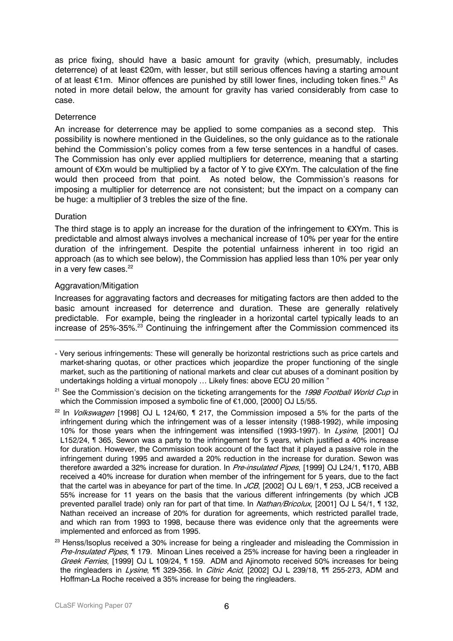as price fixing, should have a basic amount for gravity (which, presumably, includes deterrence) of at least €20m, with lesser, but still serious offences having a starting amount of at least  $\epsilon$ 1m. Minor offences are punished by still lower fines, including token fines.<sup>21</sup> As noted in more detail below, the amount for gravity has varied considerably from case to case.

## **Deterrence**

An increase for deterrence may be applied to some companies as a second step. This possibility is nowhere mentioned in the Guidelines, so the only guidance as to the rationale behind the Commission's policy comes from a few terse sentences in a handful of cases. The Commission has only ever applied multipliers for deterrence, meaning that a starting amount of €Xm would be multiplied by a factor of Y to give €XYm. The calculation of the fine would then proceed from that point. As noted below, the Commission's reasons for imposing a multiplier for deterrence are not consistent; but the impact on a company can be huge: a multiplier of 3 trebles the size of the fine.

## **Duration**

 $\overline{a}$ 

The third stage is to apply an increase for the duration of the infringement to  $\epsilon$ XYm. This is predictable and almost always involves a mechanical increase of 10% per year for the entire duration of the infringement. Despite the potential unfairness inherent in too rigid an approach (as to which see below), the Commission has applied less than 10% per year only in a very few cases. $22$ 

## Aggravation/Mitigation

Increases for aggravating factors and decreases for mitigating factors are then added to the basic amount increased for deterrence and duration. These are generally relatively predictable. For example, being the ringleader in a horizontal cartel typically leads to an increase of 25%-35%.[23](#page-5-2) Continuing the infringement after the Commission commenced its

<sup>-</sup> Very serious infringements: These will generally be horizontal restrictions such as price cartels and market-sharing quotas, or other practices which jeopardize the proper functioning of the single market, such as the partitioning of national markets and clear cut abuses of a dominant position by undertakings holding a virtual monopoly … Likely fines: above ECU 20 million "

<span id="page-5-0"></span> $21$  See the Commission's decision on the ticketing arrangements for the 1998 Football World Cup in which the Commission imposed a symbolic fine of €1,000, [2000] OJ L5/55.

<span id="page-5-1"></span><sup>&</sup>lt;sup>22</sup> In *Volkswagen* [1998] OJ L 124/60,  $\parallel$  217, the Commission imposed a 5% for the parts of the infringement during which the infringement was of a lesser intensity (1988-1992), while imposing 10% for those years when the infringement was intensified (1993-1997). In Lysine, [2001] OJ L152/24, ¶ 365, Sewon was a party to the infringement for 5 years, which justified a 40% increase for duration. However, the Commission took account of the fact that it played a passive role in the infringement during 1995 and awarded a 20% reduction in the increase for duration. Sewon was therefore awarded a 32% increase for duration. In Pre-insulated Pipes, [1999] OJ L24/1, ¶170, ABB received a 40% increase for duration when member of the infringement for 5 years, due to the fact that the cartel was in abeyance for part of the time. In  $JCB$ , [2002] OJ L 69/1, 1 253, JCB received a 55% increase for 11 years on the basis that the various different infringements (by which JCB prevented parallel trade) only ran for part of that time. In *Nathan/Bricolux*, [2001] OJ L 54/1, 1132, Nathan received an increase of 20% for duration for agreements, which restricted parallel trade, and which ran from 1993 to 1998, because there was evidence only that the agreements were implemented and enforced as from 1995.

<span id="page-5-2"></span><sup>&</sup>lt;sup>23</sup> Henss/Isoplus received a 30% increase for being a ringleader and misleading the Commission in Pre-Insulated Pipes, 1179. Minoan Lines received a 25% increase for having been a ringleader in Greek Ferries, [1999] OJ L 109/24, ¶ 159. ADM and Ajinomoto received 50% increases for being the ringleaders in *Lysine*, ¶¶ 329-356. In *Citric Acid*, [2002] OJ L 239/18, ¶¶ 255-273, ADM and Hoffman-La Roche received a 35% increase for being the ringleaders.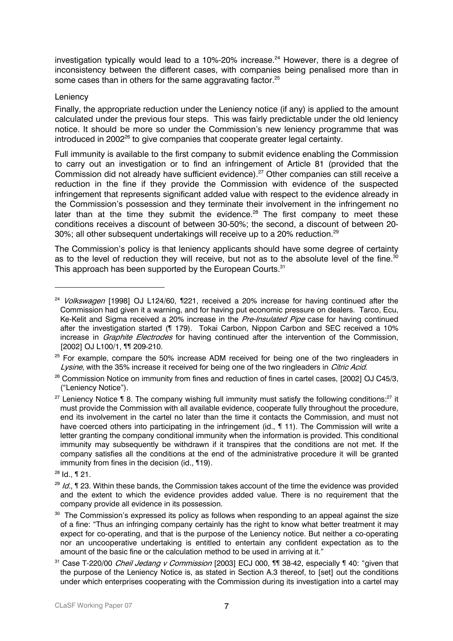investigation typically would lead to a 10%-20% increase.<sup>24</sup> However, there is a degree of inconsistency between the different cases, with companies being penalised more than in some cases than in others for the same aggravating factor.<sup>25</sup>

## Leniency

Finally, the appropriate reduction under the Leniency notice (if any) is applied to the amount calculated under the previous four steps. This was fairly predictable under the old leniency notice. It should be more so under the Commission's new leniency programme that was introduced in 2002<sup>26</sup> to give companies that cooperate greater legal certainty.

Full immunity is available to the first company to submit evidence enabling the Commission to carry out an investigation or to find an infringement of Article 81 (provided that the Commission did not already have sufficient evidence).<sup>27</sup> Other companies can still receive a reduction in the fine if they provide the Commission with evidence of the suspected infringement that represents significant added value with respect to the evidence already in the Commission's possession and they terminate their involvement in the infringement no later than at the time they submit the evidence.<sup>28</sup> The first company to meet these conditions receives a discount of between 30-50%; the second, a discount of between 20- 30%; all other subsequent undertakings will receive up to a 20% reduction.<sup>29</sup>

The Commission's policy is that leniency applicants should have some degree of certainty as to the level of reduction they will receive, but not as to the absolute level of the fine. $^{30}$ This approach has been supported by the European Courts.<sup>[31](#page-6-7)</sup>

<span id="page-6-0"></span> $24$  Volkswagen [1998] OJ L124/60, 1221, received a 20% increase for having continued after the Commission had given it a warning, and for having put economic pressure on dealers. Tarco, Ecu, Ke-Kelit and Sigma received a 20% increase in the Pre-Insulated Pipe case for having continued after the investigation started (¶ 179). Tokai Carbon, Nippon Carbon and SEC received a 10% increase in *Graphite Electrodes* for having continued after the intervention of the Commission, [2002] OJ L100/1, ¶¶ 209-210.

<span id="page-6-1"></span> $25$  For example, compare the 50% increase ADM received for being one of the two ringleaders in Lysine, with the 35% increase it received for being one of the two ringleaders in *Citric Acid*.

<span id="page-6-2"></span><sup>&</sup>lt;sup>26</sup> Commission Notice on immunity from fines and reduction of fines in cartel cases, [2002] OJ C45/3, ("Leniency Notice").

<span id="page-6-3"></span> $27$  Leniency Notice ¶ 8. The company wishing full immunity must satisfy the following conditions:  $27$  it must provide the Commission with all available evidence, cooperate fully throughout the procedure, end its involvement in the cartel no later than the time it contacts the Commission, and must not have coerced others into participating in the infringement (id., 111). The Commission will write a letter granting the company conditional immunity when the information is provided. This conditional immunity may subsequently be withdrawn if it transpires that the conditions are not met. If the company satisfies all the conditions at the end of the administrative procedure it will be granted immunity from fines in the decision (id., ¶19).

<span id="page-6-4"></span><sup>28</sup> Id., ¶ 21.

<span id="page-6-5"></span> $29$  Id.,  $\P$  23. Within these bands, the Commission takes account of the time the evidence was provided and the extent to which the evidence provides added value. There is no requirement that the company provide all evidence in its possession.

<span id="page-6-6"></span><sup>&</sup>lt;sup>30</sup> The Commission's expressed its policy as follows when responding to an appeal against the size of a fine: "Thus an infringing company certainly has the right to know what better treatment it may expect for co-operating, and that is the purpose of the Leniency notice. But neither a co-operating nor an uncooperative undertaking is entitled to entertain any confident expectation as to the amount of the basic fine or the calculation method to be used in arriving at it."

<span id="page-6-7"></span><sup>&</sup>lt;sup>31</sup> Case T-220/00 *Cheil Jedang v Commission* [2003] ECJ 000, 11 38-42, especially 1 40: "given that the purpose of the Leniency Notice is, as stated in Section A.3 thereof, to [set] out the conditions under which enterprises cooperating with the Commission during its investigation into a cartel may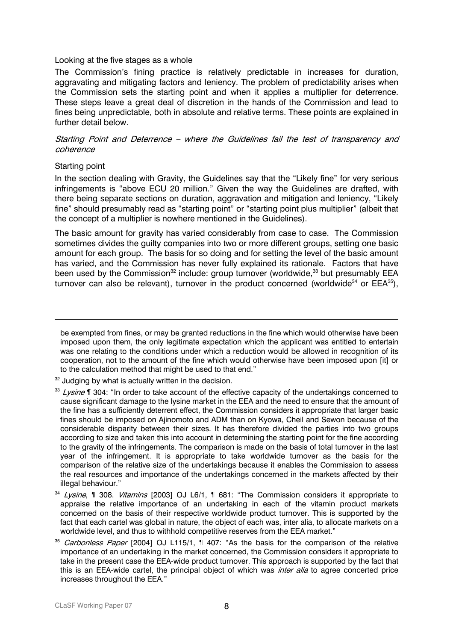#### Looking at the five stages as a whole

The Commission's fining practice is relatively predictable in increases for duration, aggravating and mitigating factors and leniency. The problem of predictability arises when the Commission sets the starting point and when it applies a multiplier for deterrence. These steps leave a great deal of discretion in the hands of the Commission and lead to fines being unpredictable, both in absolute and relative terms. These points are explained in further detail below.

## Starting Point and Deterrence – where the Guidelines fail the test of transparency and coherence

#### Starting point

 $\overline{a}$ 

In the section dealing with Gravity, the Guidelines say that the "Likely fine" for very serious infringements is "above ECU 20 million." Given the way the Guidelines are drafted, with there being separate sections on duration, aggravation and mitigation and leniency, "Likely fine" should presumably read as "starting point" or "starting point plus multiplier" (albeit that the concept of a multiplier is nowhere mentioned in the Guidelines).

The basic amount for gravity has varied considerably from case to case. The Commission sometimes divides the guilty companies into two or more different groups, setting one basic amount for each group. The basis for so doing and for setting the level of the basic amount has varied, and the Commission has never fully explained its rationale. Factors that have been used by the Commission<sup>32</sup> include: group turnover (worldwide,<sup>33</sup> but presumably EEA turnover can also be relevant), turnover in the product concerned (worldwide<sup>34</sup> or  $EEA^{35}$ ),

<span id="page-7-0"></span> $32$  Judging by what is actually written in the decision.

be exempted from fines, or may be granted reductions in the fine which would otherwise have been imposed upon them, the only legitimate expectation which the applicant was entitled to entertain was one relating to the conditions under which a reduction would be allowed in recognition of its cooperation, not to the amount of the fine which would otherwise have been imposed upon [it] or to the calculation method that might be used to that end."

<span id="page-7-1"></span><sup>33</sup> Lysine ¶ 304: "In order to take account of the effective capacity of the undertakings concerned to cause significant damage to the lysine market in the EEA and the need to ensure that the amount of the fine has a sufficiently deterrent effect, the Commission considers it appropriate that larger basic fines should be imposed on Ajinomoto and ADM than on Kyowa, Cheil and Sewon because of the considerable disparity between their sizes. It has therefore divided the parties into two groups according to size and taken this into account in determining the starting point for the fine according to the gravity of the infringements. The comparison is made on the basis of total turnover in the last year of the infringement. It is appropriate to take worldwide turnover as the basis for the comparison of the relative size of the undertakings because it enables the Commission to assess the real resources and importance of the undertakings concerned in the markets affected by their illegal behaviour."

<span id="page-7-2"></span><sup>&</sup>lt;sup>34</sup> Lysine, ¶ 308. Vitamins [2003] OJ L6/1, ¶ 681: "The Commission considers it appropriate to appraise the relative importance of an undertaking in each of the vitamin product markets concerned on the basis of their respective worldwide product turnover. This is supported by the fact that each cartel was global in nature, the object of each was, inter alia, to allocate markets on a worldwide level, and thus to withhold competitive reserves from the EEA market."

<span id="page-7-3"></span><sup>&</sup>lt;sup>35</sup> Carbonless Paper [2004] OJ L115/1, ¶ 407: "As the basis for the comparison of the relative importance of an undertaking in the market concerned, the Commission considers it appropriate to take in the present case the EEA-wide product turnover. This approach is supported by the fact that this is an EEA-wide cartel, the principal object of which was *inter alia* to agree concerted price increases throughout the EEA."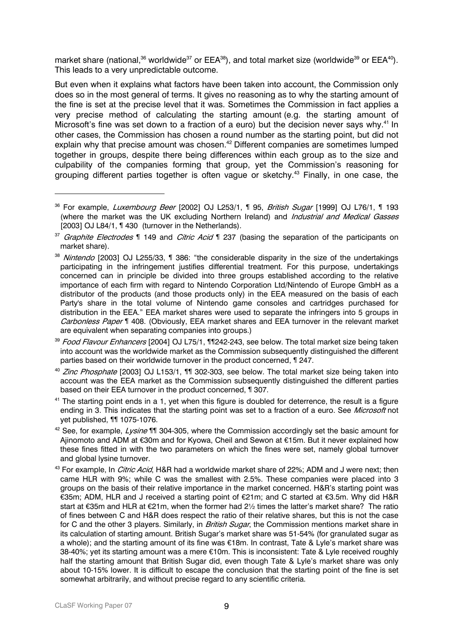market share (national, $36$  worldwide<sup>37</sup> or EEA $36$ ), and total market size (worldwide<sup>39</sup> or EEA $40$ ). This leads to a very unpredictable outcome.

But even when it explains what factors have been taken into account, the Commission only does so in the most general of terms. It gives no reasoning as to why the starting amount of the fine is set at the precise level that it was. Sometimes the Commission in fact applies a very precise method of calculating the starting amount (e.g. the starting amount of Microsoft's fine was set down to a fraction of a euro) but the decision never says why.<sup>41</sup> In other cases, the Commission has chosen a round number as the starting point, but did not explain why that precise amount was chosen.<sup>[42](#page-8-6)</sup> Different companies are sometimes lumped together in groups, despite there being differences within each group as to the size and culpability of the companies forming that group, yet the Commission's reasoning for grouping different parties together is often vague or sketchy[.43](#page-8-7) Finally, in one case, the

<span id="page-8-4"></span><sup>40</sup> Zinc Phosphate [2003] OJ L153/1, ¶¶ 302-303, see below. The total market size being taken into account was the EEA market as the Commission subsequently distinguished the different parties based on their EEA turnover in the product concerned, ¶ 307.

<span id="page-8-5"></span> $41$  The starting point ends in a 1, yet when this figure is doubled for deterrence, the result is a figure ending in 3. This indicates that the starting point was set to a fraction of a euro. See *Microsoft* not yet published, ¶¶ 1075-1076.

<span id="page-8-6"></span><sup>42</sup> See. for example, *Lysine* 11 304-305, where the Commission accordingly set the basic amount for Ajinomoto and ADM at €30m and for Kyowa, Cheil and Sewon at €15m. But it never explained how these fines fitted in with the two parameters on which the fines were set, namely global turnover and global lysine turnover.

<span id="page-8-0"></span> $36$  For example, *Luxembourg Beer* [2002] OJ L253/1,  $\parallel$  95, *British Sugar* [1999] OJ L76/1,  $\parallel$  193 (where the market was the UK excluding Northern Ireland) and *Industrial and Medical Gasses* [2003] OJ L84/1, ¶ 430 (turnover in the Netherlands).

<span id="page-8-1"></span><sup>&</sup>lt;sup>37</sup> Graphite Electrodes ¶ 149 and Citric Acid ¶ 237 (basing the separation of the participants on market share).

<span id="page-8-2"></span><sup>&</sup>lt;sup>38</sup> Nintendo [2003] OJ L255/33, ¶ 386: "the considerable disparity in the size of the undertakings participating in the infringement justifies differential treatment. For this purpose, undertakings concerned can in principle be divided into three groups established according to the relative importance of each firm with regard to Nintendo Corporation Ltd/Nintendo of Europe GmbH as a distributor of the products (and those products only) in the EEA measured on the basis of each Party's share in the total volume of Nintendo game consoles and cartridges purchased for distribution in the EEA." EEA market shares were used to separate the infringers into 5 groups in Carbonless Paper ¶ 408. (Obviously, EEA market shares and EEA turnover in the relevant market are equivalent when separating companies into groups.)

<span id="page-8-3"></span><sup>&</sup>lt;sup>39</sup> Food Flavour Enhancers [2004] OJ L75/1, ¶¶242-243, see below. The total market size being taken into account was the worldwide market as the Commission subsequently distinguished the different parties based on their worldwide turnover in the product concerned, ¶ 247.

<span id="page-8-7"></span><sup>&</sup>lt;sup>43</sup> For example, In *Citric Acid*, H&R had a worldwide market share of 22%; ADM and J were next; then came HLR with 9%; while C was the smallest with 2.5%. These companies were placed into 3 groups on the basis of their relative importance in the market concerned. H&R's starting point was €35m; ADM, HLR and J received a starting point of €21m; and C started at €3.5m. Why did H&R start at €35m and HLR at €21m, when the former had 2½ times the latter's market share? The ratio of fines between C and H&R does respect the ratio of their relative shares, but this is not the case for C and the other 3 players. Similarly, in *British Sugar*, the Commission mentions market share in its calculation of starting amount. British Sugar's market share was 51-54% (for granulated sugar as a whole); and the starting amount of its fine was €18m. In contrast, Tate & Lyle's market share was 38-40%; yet its starting amount was a mere €10m. This is inconsistent: Tate & Lyle received roughly half the starting amount that British Sugar did, even though Tate & Lyle's market share was only about 10-15% lower. It is difficult to escape the conclusion that the starting point of the fine is set somewhat arbitrarily, and without precise regard to any scientific criteria.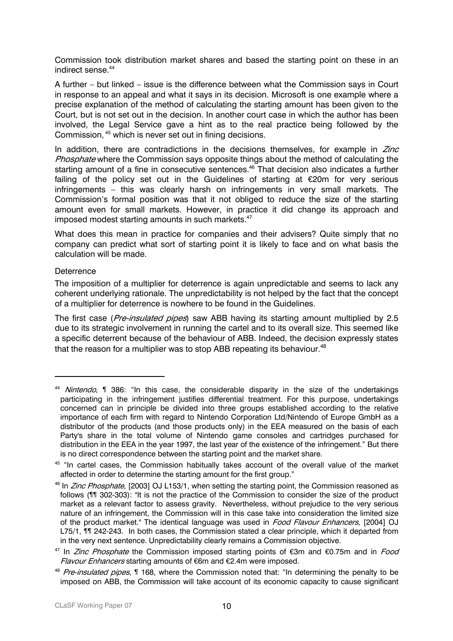Commission took distribution market shares and based the starting point on these in an indirect sense.<sup>44</sup>

A further – but linked – issue is the difference between what the Commission says in Court in response to an appeal and what it says in its decision. Microsoft is one example where a precise explanation of the method of calculating the starting amount has been given to the Court, but is not set out in the decision. In another court case in which the author has been involved, the Legal Service gave a hint as to the real practice being followed by the Commission, [45](#page-9-1) which is never set out in fining decisions.

In addition, there are contradictions in the decisions themselves, for example in  $Zinc$ Phosphate where the Commission says opposite things about the method of calculating the starting amount of a fine in consecutive sentences. [46](#page-9-2) That decision also indicates a further failing of the policy set out in the Guidelines of starting at €20m for very serious infringements – this was clearly harsh on infringements in very small markets. The Commission's formal position was that it not obliged to reduce the size of the starting amount even for small markets. However, in practice it did change its approach and imposed modest starting amounts in such markets.<sup>[47](#page-9-3)</sup>

What does this mean in practice for companies and their advisers? Quite simply that no company can predict what sort of starting point it is likely to face and on what basis the calculation will be made.

## **Deterrence**

 $\overline{a}$ 

The imposition of a multiplier for deterrence is again unpredictable and seems to lack any coherent underlying rationale. The unpredictability is not helped by the fact that the concept of a multiplier for deterrence is nowhere to be found in the Guidelines.

The first case (*Pre-insulated pipes*) saw ABB having its starting amount multiplied by 2.5 due to its strategic involvement in running the cartel and to its overall size. This seemed like a specific deterrent because of the behaviour of ABB. Indeed, the decision expressly states that the reason for a multiplier was to stop ABB repeating its behaviour.<sup>[48](#page-9-4)</sup>

<span id="page-9-0"></span><sup>&</sup>lt;sup>44</sup> Nintendo,  $\P$  386: "In this case, the considerable disparity in the size of the undertakings participating in the infringement justifies differential treatment. For this purpose, undertakings concerned can in principle be divided into three groups established according to the relative importance of each firm with regard to Nintendo Corporation Ltd/Nintendo of Europe GmbH as a distributor of the products (and those products only) in the EEA measured on the basis of each Party's share in the total volume of Nintendo game consoles and cartridges purchased for distribution in the EEA in the year 1997, the last year of the existence of the infringement." But there is no direct correspondence between the starting point and the market share.

<span id="page-9-1"></span><sup>&</sup>lt;sup>45</sup> "In cartel cases, the Commission habitually takes account of the overall value of the market affected in order to determine the starting amount for the first group."

<span id="page-9-2"></span> $46$  In *Zinc Phosphate*, [2003] OJ L153/1, when setting the starting point, the Commission reasoned as follows (¶¶ 302-303): "It is not the practice of the Commission to consider the size of the product market as a relevant factor to assess gravity. Nevertheless, without prejudice to the very serious nature of an infringement, the Commission will in this case take into consideration the limited size of the product market." The identical language was used in *Food Flavour Enhancers*, [2004] OJ L75/1, ¶¶ 242-243. In both cases, the Commission stated a clear principle, which it departed from in the very next sentence. Unpredictability clearly remains a Commission objective.

<span id="page-9-3"></span> $47$  In *Zinc Phosphate* the Commission imposed starting points of  $\bigoplus$  and  $\bigoplus$ .75m and in *Food* Flavour Enhancers starting amounts of €6m and €2.4m were imposed.

<span id="page-9-4"></span><sup>&</sup>lt;sup>48</sup> Pre-insulated pipes. If 168, where the Commission noted that: "In determining the penalty to be imposed on ABB, the Commission will take account of its economic capacity to cause significant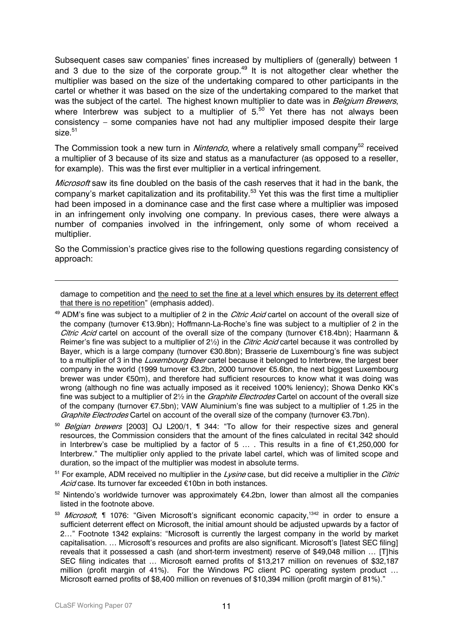Subsequent cases saw companies' fines increased by multipliers of (generally) between 1 and 3 due to the size of the corporate group.<sup>49</sup> It is not altogether clear whether the multiplier was based on the size of the undertaking compared to other participants in the cartel or whether it was based on the size of the undertaking compared to the market that was the subject of the cartel. The highest known multiplier to date was in Belgium Brewers, where Interbrew was subject to a multiplier of  $5<sup>50</sup>$  Yet there has not always been consistency – some companies have not had any multiplier imposed despite their large  $size<sup>51</sup>$ 

The Commission took a new turn in *Nintendo*, where a relatively small company<sup>52</sup> received a multiplier of 3 because of its size and status as a manufacturer (as opposed to a reseller, for example). This was the first ever multiplier in a vertical infringement.

Microsoft saw its fine doubled on the basis of the cash reserves that it had in the bank, the company's market capitalization and its profitability.<sup>53</sup> Yet this was the first time a multiplier had been imposed in a dominance case and the first case where a multiplier was imposed in an infringement only involving one company. In previous cases, there were always a number of companies involved in the infringement, only some of whom received a multiplier.

So the Commission's practice gives rise to the following questions regarding consistency of approach:

damage to competition and the need to set the fine at a level which ensures by its deterrent effect that there is no repetition" (emphasis added).

- <span id="page-10-0"></span> $49$  ADM's fine was subject to a multiplier of 2 in the *Citric Acid* cartel on account of the overall size of the company (turnover €13.9bn); Hoffmann-La-Roche's fine was subject to a multiplier of 2 in the *Citric Acid* cartel on account of the overall size of the company (turnover  $\epsilon$ 18.4bn); Haarmann & Reimer's fine was subject to a multiplier of 2<sup>1</sup>/<sub>2</sub>) in the *Citric Acid* cartel because it was controlled by Bayer, which is a large company (turnover €30.8bn); Brasserie de Luxembourg's fine was subject to a multiplier of 3 in the Luxembourg Beer cartel because it belonged to Interbrew, the largest beer company in the world (1999 turnover €3.2bn, 2000 turnover €5.6bn, the next biggest Luxembourg brewer was under €50m), and therefore had sufficient resources to know what it was doing was wrong (although no fine was actually imposed as it received 100% leniency); Showa Denko KK's fine was subject to a multiplier of 2<sup>1</sup>/<sub>2</sub> in the *Graphite Electrodes* Cartel on account of the overall size of the company (turnover €7.5bn); VAW Aluminium's fine was subject to a multiplier of 1.25 in the Graphite Electrodes Cartel on account of the overall size of the company (turnover €3.7bn).
- <span id="page-10-1"></span> $50$  Belgian brewers [2003] OJ L200/1,  $\P$  344: "To allow for their respective sizes and general resources, the Commission considers that the amount of the fines calculated in recital 342 should in Interbrew's case be multiplied by a factor of 5 … . This results in a fine of €1,250,000 for Interbrew." The multiplier only applied to the private label cartel, which was of limited scope and duration, so the impact of the multiplier was modest in absolute terms.

<span id="page-10-2"></span> $51$  For example, ADM received no multiplier in the Lysine case, but did receive a multiplier in the *Citric* Acid case. Its turnover far exceeded €10bn in both instances.

<span id="page-10-3"></span> $52$  Nintendo's worldwide turnover was approximately  $64.2$ bn, lower than almost all the companies listed in the footnote above.

<span id="page-10-4"></span><sup>53</sup> Microsoft, ¶ 1076: "Given Microsoft's significant economic capacity,<sup>1342</sup> in order to ensure a sufficient deterrent effect on Microsoft, the initial amount should be adjusted upwards by a factor of 2…" Footnote 1342 explains: "Microsoft is currently the largest company in the world by market capitalisation. ... Microsoft's resources and profits are also significant. Microsoft's [latest SEC filing] reveals that it possessed a cash (and short-term investment) reserve of \$49,048 million … [T]his SEC filing indicates that … Microsoft earned profits of \$13,217 million on revenues of \$32,187 million (profit margin of 41%). For the Windows PC client PC operating system product ... Microsoft earned profits of \$8,400 million on revenues of \$10,394 million (profit margin of 81%)."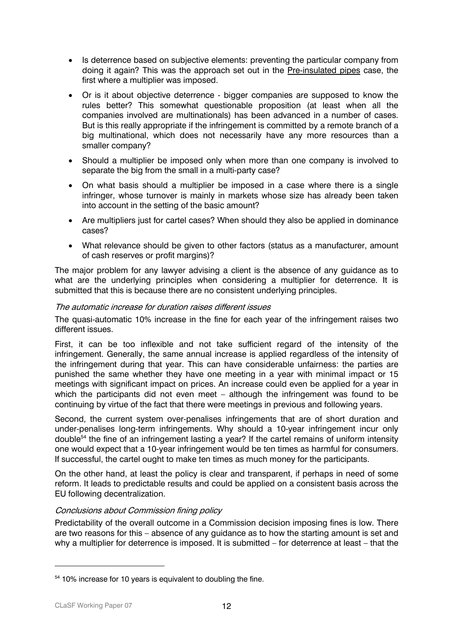- Is deterrence based on subjective elements: preventing the particular company from doing it again? This was the approach set out in the Pre-insulated pipes case, the first where a multiplier was imposed.
- Or is it about objective deterrence bigger companies are supposed to know the rules better? This somewhat questionable proposition (at least when all the companies involved are multinationals) has been advanced in a number of cases. But is this really appropriate if the infringement is committed by a remote branch of a big multinational, which does not necessarily have any more resources than a smaller company?
- Should a multiplier be imposed only when more than one company is involved to separate the big from the small in a multi-party case?
- On what basis should a multiplier be imposed in a case where there is a single infringer, whose turnover is mainly in markets whose size has already been taken into account in the setting of the basic amount?
- Are multipliers just for cartel cases? When should they also be applied in dominance cases?
- What relevance should be given to other factors (status as a manufacturer, amount of cash reserves or profit margins)?

The major problem for any lawyer advising a client is the absence of any guidance as to what are the underlying principles when considering a multiplier for deterrence. It is submitted that this is because there are no consistent underlying principles.

## The automatic increase for duration raises different issues

The quasi-automatic 10% increase in the fine for each year of the infringement raises two different issues.

First, it can be too inflexible and not take sufficient regard of the intensity of the infringement. Generally, the same annual increase is applied regardless of the intensity of the infringement during that year. This can have considerable unfairness: the parties are punished the same whether they have one meeting in a year with minimal impact or 15 meetings with significant impact on prices. An increase could even be applied for a year in which the participants did not even meet – although the infringement was found to be continuing by virtue of the fact that there were meetings in previous and following years.

Second, the current system over-penalises infringements that are of short duration and under-penalises long-term infringements. Why should a 10-year infringement incur only doubl[e54](#page-11-0) the fine of an infringement lasting a year? If the cartel remains of uniform intensity one would expect that a 10-year infringement would be ten times as harmful for consumers. If successful, the cartel ought to make ten times as much money for the participants.

On the other hand, at least the policy is clear and transparent, if perhaps in need of some reform. It leads to predictable results and could be applied on a consistent basis across the EU following decentralization.

## Conclusions about Commission fining policy

Predictability of the overall outcome in a Commission decision imposing fines is low. There are two reasons for this – absence of any guidance as to how the starting amount is set and why a multiplier for deterrence is imposed. It is submitted – for deterrence at least – that the

<span id="page-11-0"></span><sup>&</sup>lt;sup>54</sup> 10% increase for 10 years is equivalent to doubling the fine.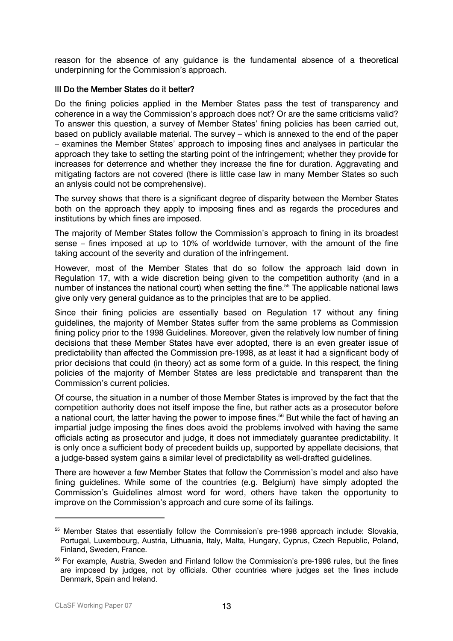reason for the absence of any guidance is the fundamental absence of a theoretical underpinning for the Commission's approach.

## III Do the Member States do it better?

Do the fining policies applied in the Member States pass the test of transparency and coherence in a way the Commission's approach does not? Or are the same criticisms valid? To answer this question, a survey of Member States' fining policies has been carried out, based on publicly available material. The survey – which is annexed to the end of the paper – examines the Member States' approach to imposing fines and analyses in particular the approach they take to setting the starting point of the infringement; whether they provide for increases for deterrence and whether they increase the fine for duration. Aggravating and mitigating factors are not covered (there is little case law in many Member States so such an anlysis could not be comprehensive).

The survey shows that there is a significant degree of disparity between the Member States both on the approach they apply to imposing fines and as regards the procedures and institutions by which fines are imposed.

The majority of Member States follow the Commission's approach to fining in its broadest sense – fines imposed at up to 10% of worldwide turnover, with the amount of the fine taking account of the severity and duration of the infringement.

However, most of the Member States that do so follow the approach laid down in Regulation 17, with a wide discretion being given to the competition authority (and in a number of instances the national court) when setting the fine.<sup>55</sup> The applicable national laws give only very general guidance as to the principles that are to be applied.

Since their fining policies are essentially based on Regulation 17 without any fining guidelines, the majority of Member States suffer from the same problems as Commission fining policy prior to the 1998 Guidelines. Moreover, given the relatively low number of fining decisions that these Member States have ever adopted, there is an even greater issue of predictability than affected the Commission pre-1998, as at least it had a significant body of prior decisions that could (in theory) act as some form of a guide. In this respect, the fining policies of the majority of Member States are less predictable and transparent than the Commission's current policies.

Of course, the situation in a number of those Member States is improved by the fact that the competition authority does not itself impose the fine, but rather acts as a prosecutor before a national court, the latter having the power to impose fines.<sup>56</sup> But while the fact of having an impartial judge imposing the fines does avoid the problems involved with having the same officials acting as prosecutor and judge, it does not immediately guarantee predictability. It is only once a sufficient body of precedent builds up, supported by appellate decisions, that a judge-based system gains a similar level of predictability as well-drafted guidelines.

There are however a few Member States that follow the Commission's model and also have fining guidelines. While some of the countries (e.g. Belgium) have simply adopted the Commission's Guidelines almost word for word, others have taken the opportunity to improve on the Commission's approach and cure some of its failings.

<span id="page-12-0"></span><sup>&</sup>lt;sup>55</sup> Member States that essentially follow the Commission's pre-1998 approach include: Slovakia, Portugal, Luxembourg, Austria, Lithuania, Italy, Malta, Hungary, Cyprus, Czech Republic, Poland, Finland, Sweden, France.

<span id="page-12-1"></span><sup>&</sup>lt;sup>56</sup> For example, Austria, Sweden and Finland follow the Commission's pre-1998 rules, but the fines are imposed by judges, not by officials. Other countries where judges set the fines include Denmark, Spain and Ireland.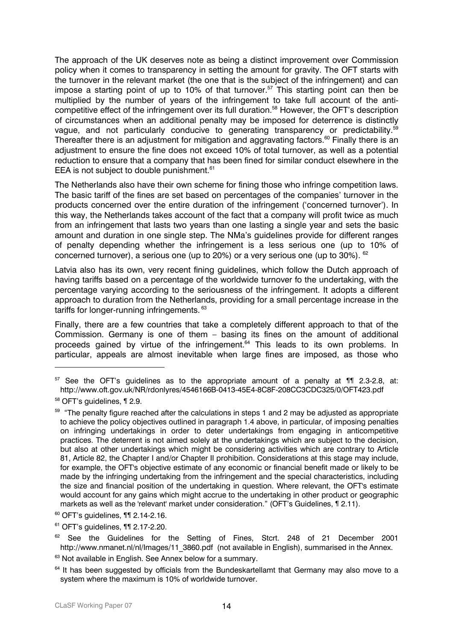The approach of the UK deserves note as being a distinct improvement over Commission policy when it comes to transparency in setting the amount for gravity. The OFT starts with the turnover in the relevant market (the one that is the subject of the infringement) and can impose a starting point of up to 10% of that turnover.<sup>57</sup> This starting point can then be multiplied by the number of years of the infringement to take full account of the anticompetitive effect of the infringement over its full duration.<sup>58</sup> However, the OFT's description of circumstances when an additional penalty may be imposed for deterrence is distinctly vague, and not particularly conducive to generating transparency or predictability.<sup>[59](#page-13-2)</sup> Thereafter there is an adjustment for mitigation and aggravating factors. $^{60}$  Finally there is an adjustment to ensure the fine does not exceed 10% of total turnover, as well as a potential reduction to ensure that a company that has been fined for similar conduct elsewhere in the EEA is not subject to double punishment.<sup>61</sup>

The Netherlands also have their own scheme for fining those who infringe competition laws. The basic tariff of the fines are set based on percentages of the companies' turnover in the products concerned over the entire duration of the infringement ('concerned turnover'). In this way, the Netherlands takes account of the fact that a company will profit twice as much from an infringement that lasts two years than one lasting a single year and sets the basic amount and duration in one single step. The NMa's guidelines provide for different ranges of penalty depending whether the infringement is a less serious one (up to 10% of concerned turnover), a serious one (up to 20%) or a very serious one (up to 30%). [62](#page-13-5)

Latvia also has its own, very recent fining guidelines, which follow the Dutch approach of having tariffs based on a percentage of the worldwide turnover fo the undertaking, with the percentage varying according to the seriousness of the infringement. It adopts a different approach to duration from the Netherlands, providing for a small percentage increase in the tariffs for longer-running infringements. <sup>63</sup>

Finally, there are a few countries that take a completely different approach to that of the Commission. Germany is one of them – basing its fines on the amount of additional proceeds gained by virtue of the infringement.<sup>64</sup> This leads to its own problems. In particular, appeals are almost inevitable when large fines are imposed, as those who

<span id="page-13-0"></span> $57$  See the OFT's guidelines as to the appropriate amount of a penalty at  $\P$  11 2.3-2.8, at: http://www.oft.gov.uk/NR/rdonlyres/4546166B-0413-45E4-8C8F-208CC3CDC325/0/OFT423.pdf

<span id="page-13-1"></span><sup>58</sup> OFT's guidelines, ¶ 2.9.

<span id="page-13-2"></span><sup>&</sup>lt;sup>59</sup> "The penalty figure reached after the calculations in steps 1 and 2 may be adjusted as appropriate to achieve the policy objectives outlined in paragraph 1.4 above, in particular, of imposing penalties on infringing undertakings in order to deter undertakings from engaging in anticompetitive practices. The deterrent is not aimed solely at the undertakings which are subject to the decision, but also at other undertakings which might be considering activities which are contrary to Article 81, Article 82, the Chapter I and/or Chapter II prohibition. Considerations at this stage may include, for example, the OFT's objective estimate of any economic or financial benefit made or likely to be made by the infringing undertaking from the infringement and the special characteristics, including the size and financial position of the undertaking in question. Where relevant, the OFT's estimate would account for any gains which might accrue to the undertaking in other product or geographic markets as well as the 'relevant' market under consideration." (OFT's Guidelines, ¶ 2.11).

<span id="page-13-3"></span> $60$  OFT's guidelines,  $\P$  12.14-2.16.

<span id="page-13-4"></span><sup>61</sup> OFT's guidelines, ¶¶ 2.17-2.20.

<span id="page-13-5"></span><sup>&</sup>lt;sup>62</sup> See the Guidelines for the Setting of Fines, Stcrt. 248 of 21 December 2001 http://www.nmanet.nl/nl/Images/11\_3860.pdf (not available in English), summarised in the Annex.

<span id="page-13-6"></span><sup>&</sup>lt;sup>63</sup> Not available in English. See Annex below for a summary.

<span id="page-13-7"></span><sup>&</sup>lt;sup>64</sup> It has been suggested by officials from the Bundeskartellamt that Germany may also move to a system where the maximum is 10% of worldwide turnover.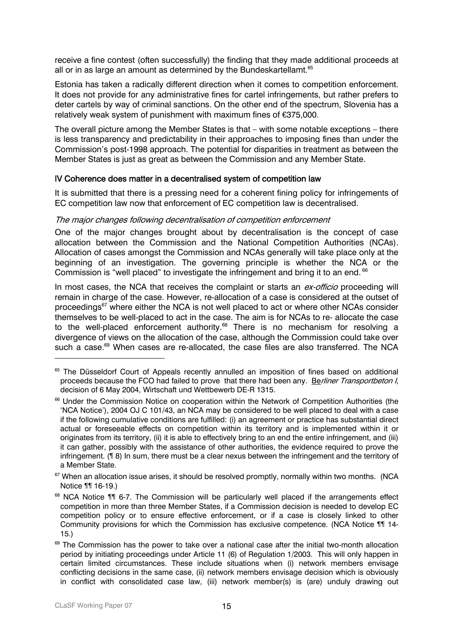receive a fine contest (often successfully) the finding that they made additional proceeds at all or in as large an amount as determined by the Bundeskartellamt. [65](#page-14-0) 

Estonia has taken a radically different direction when it comes to competition enforcement. It does not provide for any administrative fines for cartel infringements, but rather prefers to deter cartels by way of criminal sanctions. On the other end of the spectrum, Slovenia has a relatively weak system of punishment with maximum fines of €375,000.

The overall picture among the Member States is that – with some notable exceptions – there is less transparency and predictability in their approaches to imposing fines than under the Commission's post-1998 approach. The potential for disparities in treatment as between the Member States is just as great as between the Commission and any Member State.

## IV Coherence does matter in a decentralised system of competition law

It is submitted that there is a pressing need for a coherent fining policy for infringements of EC competition law now that enforcement of EC competition law is decentralised.

## The major changes following decentralisation of competition enforcement

One of the major changes brought about by decentralisation is the concept of case allocation between the Commission and the National Competition Authorities (NCAs). Allocation of cases amongst the Commission and NCAs generally will take place only at the beginning of an investigation. The governing principle is whether the NCA or the Commission is "well placed" to investigate the infringement and bring it to an end. <sup>66</sup>

In most cases, the NCA that receives the complaint or starts an *ex-officio* proceeding will remain in charge of the case. However, re-allocation of a case is considered at the outset of proceedings<sup>67</sup> where either the NCA is not well placed to act or where other NCAs consider themselves to be well-placed to act in the case. The aim is for NCAs to re- allocate the case to the well-placed enforcement authority. $68$  There is no mechanism for resolving a divergence of views on the allocation of the case, although the Commission could take over such a case.<sup>69</sup> When cases are re-allocated, the case files are also transferred. The NCA

<span id="page-14-0"></span><sup>&</sup>lt;sup>65</sup> The Düsseldorf Court of Appeals recently annulled an imposition of fines based on additional proceeds because the FCO had failed to prove that there had been any. Berliner Transportbeton I, decision of 6 May 2004, Wirtschaft und Wettbewerb DE-R 1315.

<span id="page-14-1"></span><sup>&</sup>lt;sup>66</sup> Under the Commission Notice on cooperation within the Network of Competition Authorities (the 'NCA Notice'), 2004 OJ C 101/43, an NCA may be considered to be well placed to deal with a case if the following cumulative conditions are fulfilled: (i) an agreement or practice has substantial direct actual or foreseeable effects on competition within its territory and is implemented within it or originates from its territory, (ii) it is able to effectively bring to an end the entire infringement, and (iii) it can gather, possibly with the assistance of other authorities, the evidence required to prove the infringement. (¶ 8) In sum, there must be a clear nexus between the infringement and the territory of a Member State.

<span id="page-14-2"></span><sup>&</sup>lt;sup>67</sup> When an allocation issue arises, it should be resolved promptly, normally within two months. (NCA Notice ¶¶ 16-19.)

<span id="page-14-3"></span><sup>&</sup>lt;sup>68</sup> NCA Notice ¶¶ 6-7. The Commission will be particularly well placed if the arrangements effect competition in more than three Member States, if a Commission decision is needed to develop EC competition policy or to ensure effective enforcement, or if a case is closely linked to other Community provisions for which the Commission has exclusive competence. (NCA Notice ¶¶ 14- 15.)

<span id="page-14-4"></span><sup>&</sup>lt;sup>69</sup> The Commission has the power to take over a national case after the initial two-month allocation period by initiating proceedings under Article 11 (6) of Regulation 1/2003. This will only happen in certain limited circumstances. These include situations when (i) network members envisage conflicting decisions in the same case, (ii) network members envisage decision which is obviously in conflict with consolidated case law, (iii) network member(s) is (are) unduly drawing out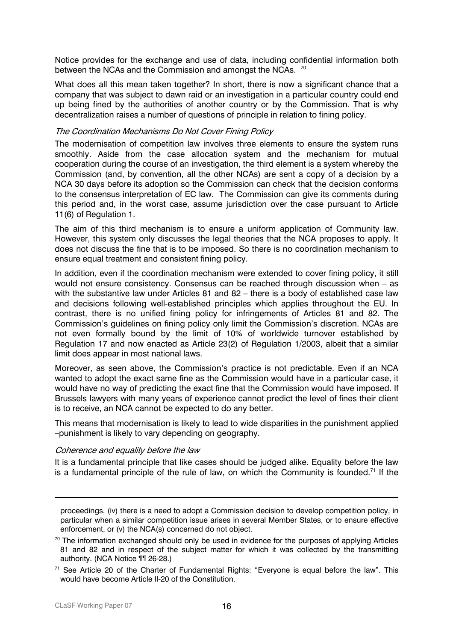Notice provides for the exchange and use of data, including confidential information both between the NCAs and the Commission and amongst the NCAs. <sup>70</sup>

What does all this mean taken together? In short, there is now a significant chance that a company that was subject to dawn raid or an investigation in a particular country could end up being fined by the authorities of another country or by the Commission. That is why decentralization raises a number of questions of principle in relation to fining policy.

#### The Coordination Mechanisms Do Not Cover Fining Policy

The modernisation of competition law involves three elements to ensure the system runs smoothly. Aside from the case allocation system and the mechanism for mutual cooperation during the course of an investigation, the third element is a system whereby the Commission (and, by convention, all the other NCAs) are sent a copy of a decision by a NCA 30 days before its adoption so the Commission can check that the decision conforms to the consensus interpretation of EC law. The Commission can give its comments during this period and, in the worst case, assume jurisdiction over the case pursuant to Article 11(6) of Regulation 1.

The aim of this third mechanism is to ensure a uniform application of Community law. However, this system only discusses the legal theories that the NCA proposes to apply. It does not discuss the fine that is to be imposed. So there is no coordination mechanism to ensure equal treatment and consistent fining policy.

In addition, even if the coordination mechanism were extended to cover fining policy, it still would not ensure consistency. Consensus can be reached through discussion when – as with the substantive law under Articles 81 and 82 – there is a body of established case law and decisions following well-established principles which applies throughout the EU. In contrast, there is no unified fining policy for infringements of Articles 81 and 82. The Commission's guidelines on fining policy only limit the Commission's discretion. NCAs are not even formally bound by the limit of 10% of worldwide turnover established by Regulation 17 and now enacted as Article 23(2) of Regulation 1/2003, albeit that a similar limit does appear in most national laws.

Moreover, as seen above, the Commission's practice is not predictable. Even if an NCA wanted to adopt the exact same fine as the Commission would have in a particular case, it would have no way of predicting the exact fine that the Commission would have imposed. If Brussels lawyers with many years of experience cannot predict the level of fines their client is to receive, an NCA cannot be expected to do any better.

This means that modernisation is likely to lead to wide disparities in the punishment applied –punishment is likely to vary depending on geography.

#### Coherence and equality before the law

It is a fundamental principle that like cases should be judged alike. Equality before the law is a fundamental principle of the rule of law, on which the Community is founded.<sup>71</sup> If the

proceedings, (iv) there is a need to adopt a Commission decision to develop competition policy, in particular when a similar competition issue arises in several Member States, or to ensure effective enforcement, or (v) the NCA(s) concerned do not object.

<span id="page-15-0"></span><sup>&</sup>lt;sup>70</sup> The information exchanged should only be used in evidence for the purposes of applying Articles 81 and 82 and in respect of the subject matter for which it was collected by the transmitting authority. (NCA Notice ¶¶ 26-28.)

<span id="page-15-1"></span><sup>&</sup>lt;sup>71</sup> See Article 20 of the Charter of Fundamental Rights: "Everyone is equal before the law". This would have become Article II-20 of the Constitution.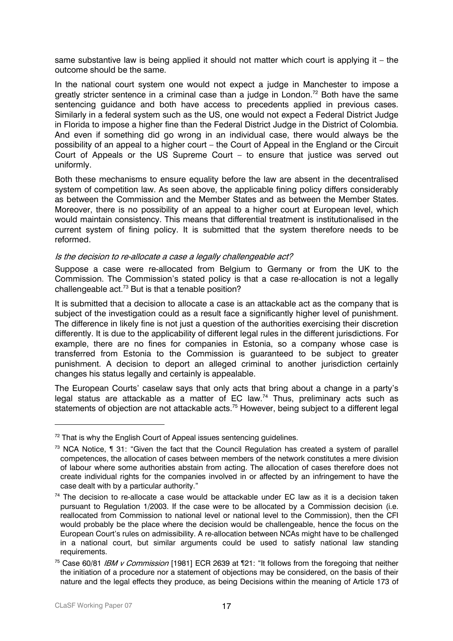same substantive law is being applied it should not matter which court is applying it – the outcome should be the same.

In the national court system one would not expect a judge in Manchester to impose a greatly stricter sentence in a criminal case than a judge in London.<sup>72</sup> Both have the same sentencing guidance and both have access to precedents applied in previous cases. Similarly in a federal system such as the US, one would not expect a Federal District Judge in Florida to impose a higher fine than the Federal District Judge in the District of Colombia. And even if something did go wrong in an individual case, there would always be the possibility of an appeal to a higher court – the Court of Appeal in the England or the Circuit Court of Appeals or the US Supreme Court – to ensure that justice was served out uniformly.

Both these mechanisms to ensure equality before the law are absent in the decentralised system of competition law. As seen above, the applicable fining policy differs considerably as between the Commission and the Member States and as between the Member States. Moreover, there is no possibility of an appeal to a higher court at European level, which would maintain consistency. This means that differential treatment is institutionalised in the current system of fining policy. It is submitted that the system therefore needs to be reformed.

#### Is the decision to re-allocate a case a legally challengeable act?

Suppose a case were re-allocated from Belgium to Germany or from the UK to the Commission. The Commission's stated policy is that a case re-allocation is not a legally challengeable act. $73$  But is that a tenable position?

It is submitted that a decision to allocate a case is an attackable act as the company that is subject of the investigation could as a result face a significantly higher level of punishment. The difference in likely fine is not just a question of the authorities exercising their discretion differently. It is due to the applicability of different legal rules in the different jurisdictions. For example, there are no fines for companies in Estonia, so a company whose case is transferred from Estonia to the Commission is guaranteed to be subject to greater punishment. A decision to deport an alleged criminal to another jurisdiction certainly changes his status legally and certainly is appealable.

The European Courts' caselaw says that only acts that bring about a change in a party's legal status are attackable as a matter of EC law.<sup>74</sup> Thus, preliminary acts such as statements of objection are not attackable acts.<sup>75</sup> However, being subject to a different legal

<span id="page-16-0"></span> $72$  That is why the English Court of Appeal issues sentencing guidelines.

<span id="page-16-1"></span><sup>&</sup>lt;sup>73</sup> NCA Notice, ¶ 31: "Given the fact that the Council Regulation has created a system of parallel competences, the allocation of cases between members of the network constitutes a mere division of labour where some authorities abstain from acting. The allocation of cases therefore does not create individual rights for the companies involved in or affected by an infringement to have the case dealt with by a particular authority."

<span id="page-16-2"></span> $74$  The decision to re-allocate a case would be attackable under EC law as it is a decision taken pursuant to Regulation 1/2003. If the case were to be allocated by a Commission decision (i.e. reallocated from Commission to national level or national level to the Commission), then the CFI would probably be the place where the decision would be challengeable, hence the focus on the European Court's rules on admissibility. A re-allocation between NCAs might have to be challenged in a national court, but similar arguments could be used to satisfy national law standing requirements.

<span id="page-16-3"></span><sup>&</sup>lt;sup>75</sup> Case 60/81 IBM v Commission [1981] ECR 2639 at 121: "It follows from the foregoing that neither the initiation of a procedure nor a statement of objections may be considered, on the basis of their nature and the legal effects they produce, as being Decisions within the meaning of Article 173 of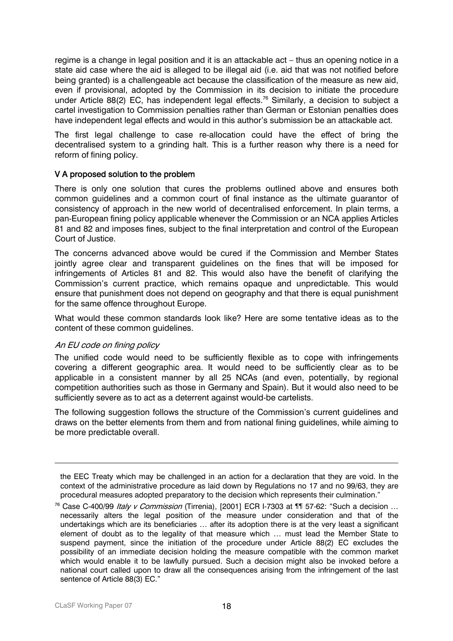regime is a change in legal position and it is an attackable act – thus an opening notice in a state aid case where the aid is alleged to be illegal aid (i.e. aid that was not notified before being granted) is a challengeable act because the classification of the measure as new aid, even if provisional, adopted by the Commission in its decision to initiate the procedure under Article 88(2) EC, has independent legal effects.<sup>76</sup> Similarly, a decision to subject a cartel investigation to Commission penalties rather than German or Estonian penalties does have independent legal effects and would in this author's submission be an attackable act.

The first legal challenge to case re-allocation could have the effect of bring the decentralised system to a grinding halt. This is a further reason why there is a need for reform of fining policy.

## V A proposed solution to the problem

There is only one solution that cures the problems outlined above and ensures both common guidelines and a common court of final instance as the ultimate guarantor of consistency of approach in the new world of decentralised enforcement. In plain terms, a pan-European fining policy applicable whenever the Commission or an NCA applies Articles 81 and 82 and imposes fines, subject to the final interpretation and control of the European Court of Justice.

The concerns advanced above would be cured if the Commission and Member States jointly agree clear and transparent guidelines on the fines that will be imposed for infringements of Articles 81 and 82. This would also have the benefit of clarifying the Commission's current practice, which remains opaque and unpredictable. This would ensure that punishment does not depend on geography and that there is equal punishment for the same offence throughout Europe.

What would these common standards look like? Here are some tentative ideas as to the content of these common guidelines.

## An EU code on fining policy

The unified code would need to be sufficiently flexible as to cope with infringements covering a different geographic area. It would need to be sufficiently clear as to be applicable in a consistent manner by all 25 NCAs (and even, potentially, by regional competition authorities such as those in Germany and Spain). But it would also need to be sufficiently severe as to act as a deterrent against would-be cartelists.

The following suggestion follows the structure of the Commission's current guidelines and draws on the better elements from them and from national fining guidelines, while aiming to be more predictable overall.

the EEC Treaty which may be challenged in an action for a declaration that they are void. In the context of the administrative procedure as laid down by Regulations no 17 and no 99/63, they are procedural measures adopted preparatory to the decision which represents their culmination."

<span id="page-17-0"></span><sup>&</sup>lt;sup>76</sup> Case C-400/99 *Italy v Commission* (Tirrenia), [2001] ECR I-7303 at ¶¶ 57-62: "Such a decision ... necessarily alters the legal position of the measure under consideration and that of the undertakings which are its beneficiaries … after its adoption there is at the very least a significant element of doubt as to the legality of that measure which … must lead the Member State to suspend payment, since the initiation of the procedure under Article 88(2) EC excludes the possibility of an immediate decision holding the measure compatible with the common market which would enable it to be lawfully pursued. Such a decision might also be invoked before a national court called upon to draw all the consequences arising from the infringement of the last sentence of Article 88(3) EC."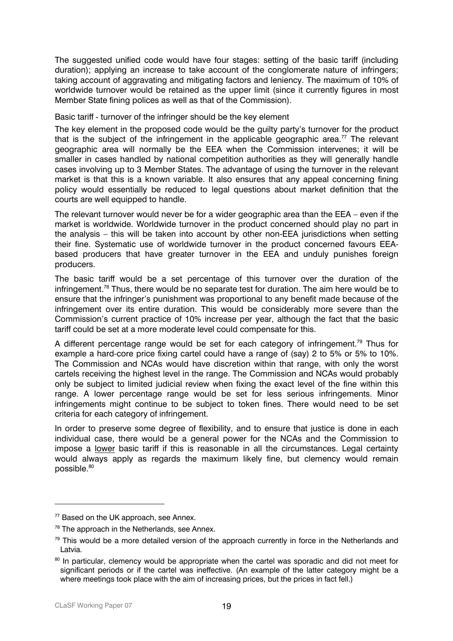The suggested unified code would have four stages: setting of the basic tariff (including duration); applying an increase to take account of the conglomerate nature of infringers; taking account of aggravating and mitigating factors and leniency. The maximum of 10% of worldwide turnover would be retained as the upper limit (since it currently figures in most Member State fining polices as well as that of the Commission).

Basic tariff - turnover of the infringer should be the key element

The key element in the proposed code would be the guilty party's turnover for the product that is the subject of the infringement in the applicable geographic area.<sup>77</sup> The relevant geographic area will normally be the EEA when the Commission intervenes; it will be smaller in cases handled by national competition authorities as they will generally handle cases involving up to 3 Member States. The advantage of using the turnover in the relevant market is that this is a known variable. It also ensures that any appeal concerning fining policy would essentially be reduced to legal questions about market definition that the courts are well equipped to handle.

The relevant turnover would never be for a wider geographic area than the EEA – even if the market is worldwide. Worldwide turnover in the product concerned should play no part in the analysis – this will be taken into account by other non-EEA jurisdictions when setting their fine. Systematic use of worldwide turnover in the product concerned favours EEAbased producers that have greater turnover in the EEA and unduly punishes foreign producers.

The basic tariff would be a set percentage of this turnover over the duration of the infringement[.78](#page-18-1) Thus, there would be no separate test for duration. The aim here would be to ensure that the infringer's punishment was proportional to any benefit made because of the infringement over its entire duration. This would be considerably more severe than the Commission's current practice of 10% increase per year, although the fact that the basic tariff could be set at a more moderate level could compensate for this.

A different percentage range would be set for each category of infringement.<sup>79</sup> Thus for example a hard-core price fixing cartel could have a range of (say) 2 to 5% or 5% to 10%. The Commission and NCAs would have discretion within that range, with only the worst cartels receiving the highest level in the range. The Commission and NCAs would probably only be subject to limited judicial review when fixing the exact level of the fine within this range. A lower percentage range would be set for less serious infringements. Minor infringements might continue to be subject to token fines. There would need to be set criteria for each category of infringement.

In order to preserve some degree of flexibility, and to ensure that justice is done in each individual case, there would be a general power for the NCAs and the Commission to impose a lower basic tariff if this is reasonable in all the circumstances. Legal certainty would always apply as regards the maximum likely fine, but clemency would remain possible.<sup>80</sup>

<span id="page-18-0"></span><sup>&</sup>lt;sup>77</sup> Based on the UK approach, see Annex.

<span id="page-18-1"></span><sup>&</sup>lt;sup>78</sup> The approach in the Netherlands, see Annex.

<span id="page-18-2"></span> $79$  This would be a more detailed version of the approach currently in force in the Netherlands and Latvia.

<span id="page-18-3"></span><sup>&</sup>lt;sup>80</sup> In particular, clemency would be appropriate when the cartel was sporadic and did not meet for significant periods or if the cartel was ineffective. (An example of the latter category might be a where meetings took place with the aim of increasing prices, but the prices in fact fell.)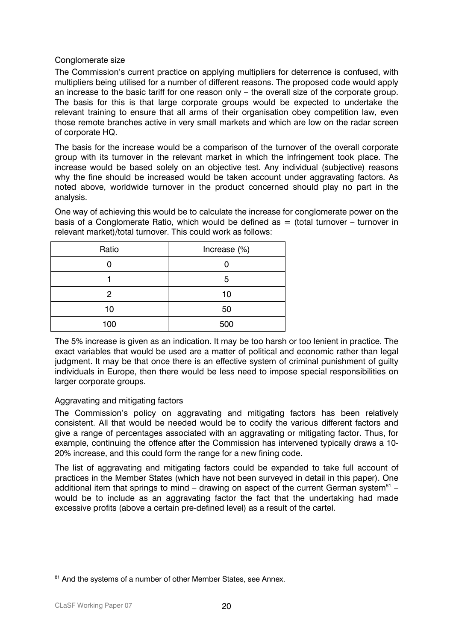## Conglomerate size

The Commission's current practice on applying multipliers for deterrence is confused, with multipliers being utilised for a number of different reasons. The proposed code would apply an increase to the basic tariff for one reason only – the overall size of the corporate group. The basis for this is that large corporate groups would be expected to undertake the relevant training to ensure that all arms of their organisation obey competition law, even those remote branches active in very small markets and which are low on the radar screen of corporate HQ.

The basis for the increase would be a comparison of the turnover of the overall corporate group with its turnover in the relevant market in which the infringement took place. The increase would be based solely on an objective test. Any individual (subjective) reasons why the fine should be increased would be taken account under aggravating factors. As noted above, worldwide turnover in the product concerned should play no part in the analysis.

One way of achieving this would be to calculate the increase for conglomerate power on the basis of a Conglomerate Ratio, which would be defined as  $=$  (total turnover – turnover in relevant market)/total turnover. This could work as follows:

| Ratio | Increase (%) |  |
|-------|--------------|--|
|       |              |  |
|       | 5            |  |
| 2     | 10           |  |
| 10    | 50           |  |
| 100   | 500          |  |

The 5% increase is given as an indication. It may be too harsh or too lenient in practice. The exact variables that would be used are a matter of political and economic rather than legal judgment. It may be that once there is an effective system of criminal punishment of guilty individuals in Europe, then there would be less need to impose special responsibilities on larger corporate groups.

## Aggravating and mitigating factors

The Commission's policy on aggravating and mitigating factors has been relatively consistent. All that would be needed would be to codify the various different factors and give a range of percentages associated with an aggravating or mitigating factor. Thus, for example, continuing the offence after the Commission has intervened typically draws a 10- 20% increase, and this could form the range for a new fining code.

The list of aggravating and mitigating factors could be expanded to take full account of practices in the Member States (which have not been surveyed in detail in this paper). One additional item that springs to mind – drawing on aspect of the current German system<sup>81</sup> – would be to include as an aggravating factor the fact that the undertaking had made excessive profits (above a certain pre-defined level) as a result of the cartel.

<span id="page-19-0"></span><sup>&</sup>lt;sup>81</sup> And the systems of a number of other Member States, see Annex.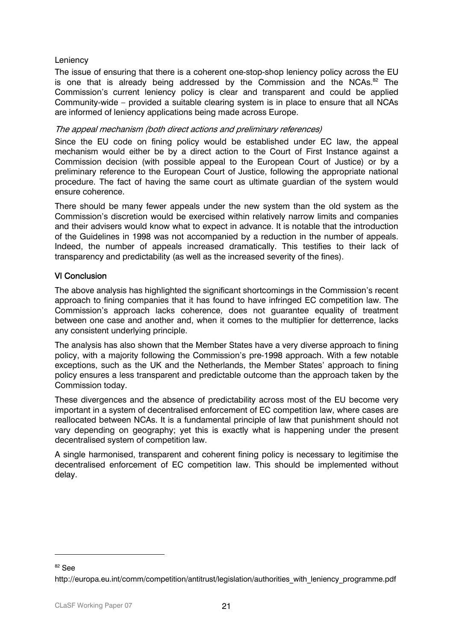## **Leniency**

The issue of ensuring that there is a coherent one-stop-shop leniency policy across the EU is one that is already being addressed by the Commission and the NCAs. $82$  The Commission's current leniency policy is clear and transparent and could be applied Community-wide – provided a suitable clearing system is in place to ensure that all NCAs are informed of leniency applications being made across Europe.

## The appeal mechanism (both direct actions and preliminary references)

Since the EU code on fining policy would be established under EC law, the appeal mechanism would either be by a direct action to the Court of First Instance against a Commission decision (with possible appeal to the European Court of Justice) or by a preliminary reference to the European Court of Justice, following the appropriate national procedure. The fact of having the same court as ultimate guardian of the system would ensure coherence.

There should be many fewer appeals under the new system than the old system as the Commission's discretion would be exercised within relatively narrow limits and companies and their advisers would know what to expect in advance. It is notable that the introduction of the Guidelines in 1998 was not accompanied by a reduction in the number of appeals. Indeed, the number of appeals increased dramatically. This testifies to their lack of transparency and predictability (as well as the increased severity of the fines).

## VI Conclusion

The above analysis has highlighted the significant shortcomings in the Commission's recent approach to fining companies that it has found to have infringed EC competition law. The Commission's approach lacks coherence, does not guarantee equality of treatment between one case and another and, when it comes to the multiplier for detterrence, lacks any consistent underlying principle.

The analysis has also shown that the Member States have a very diverse approach to fining policy, with a majority following the Commission's pre-1998 approach. With a few notable exceptions, such as the UK and the Netherlands, the Member States' approach to fining policy ensures a less transparent and predictable outcome than the approach taken by the Commission today.

These divergences and the absence of predictability across most of the EU become very important in a system of decentralised enforcement of EC competition law, where cases are reallocated between NCAs. It is a fundamental principle of law that punishment should not vary depending on geography; yet this is exactly what is happening under the present decentralised system of competition law.

A single harmonised, transparent and coherent fining policy is necessary to legitimise the decentralised enforcement of EC competition law. This should be implemented without delay.

<span id="page-20-0"></span><sup>82</sup> See

http://europa.eu.int/comm/competition/antitrust/legislation/authorities with leniency programme.pdf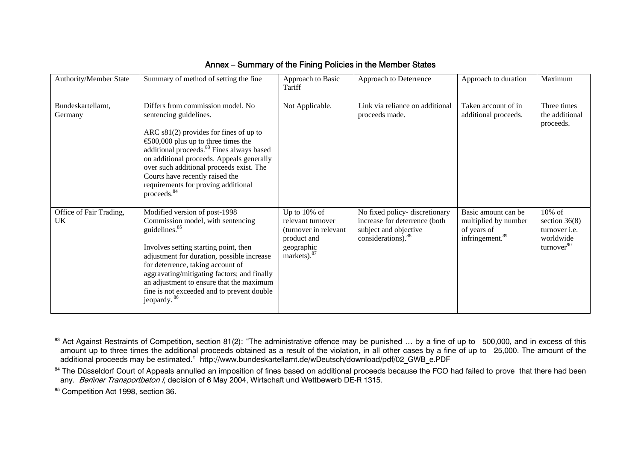| Authority/Member State        | Summary of method of setting the fine                                                                                                                                                                                                                                                                                                                                                                 | Approach to Basic<br>Tariff                                                                                        | Approach to Deterrence                                                                                                    | Approach to duration                                                                      | Maximum                                                                                  |
|-------------------------------|-------------------------------------------------------------------------------------------------------------------------------------------------------------------------------------------------------------------------------------------------------------------------------------------------------------------------------------------------------------------------------------------------------|--------------------------------------------------------------------------------------------------------------------|---------------------------------------------------------------------------------------------------------------------------|-------------------------------------------------------------------------------------------|------------------------------------------------------------------------------------------|
| Bundeskartellamt,<br>Germany  | Differs from commission model. No<br>sentencing guidelines.<br>ARC $s81(2)$ provides for fines of up to<br>€500,000 plus up to three times the<br>additional proceeds. <sup>83</sup> Fines always based<br>on additional proceeds. Appeals generally<br>over such additional proceeds exist. The<br>Courts have recently raised the<br>requirements for proving additional<br>proceeds. <sup>84</sup> | Not Applicable.                                                                                                    | Link via reliance on additional<br>proceeds made.                                                                         | Taken account of in<br>additional proceeds.                                               | Three times<br>the additional<br>proceeds.                                               |
| Office of Fair Trading,<br>UK | Modified version of post-1998<br>Commission model, with sentencing<br>guidelines. <sup>85</sup><br>Involves setting starting point, then<br>adjustment for duration, possible increase<br>for deterrence, taking account of<br>aggravating/mitigating factors; and finally<br>an adjustment to ensure that the maximum<br>fine is not exceeded and to prevent double<br>jeopardy. <sup>86</sup>       | Up to 10% of<br>relevant turnover<br>(turnover in relevant<br>product and<br>geographic<br>markets). <sup>87</sup> | No fixed policy-discretionary<br>increase for deterrence (both<br>subject and objective<br>considerations). <sup>88</sup> | Basic amount can be<br>multiplied by number<br>of years of<br>infringement. <sup>89</sup> | 10% of<br>section $36(8)$<br>turnover <i>i.e.</i><br>worldwide<br>turnover <sup>90</sup> |

## <span id="page-21-2"></span>Annex – Summary of the Fining Policies in the Member States

<sup>83</sup> Act Against Restraints of Competition, section 81(2): "The administrative offence may be punished ... by a fine of up to 500,000, and in excess of this amount up to three times the additional proceeds obtained as a result of the violation, in all other cases by a fine of up to 25,000. The amount of the additional proceeds may be estimated." http://www.bundeskartellamt.de/wDeutsch/download/pdf/02\_GWB\_e.PDF

<sup>84</sup> The Düsseldorf Court of Appeals annulled an imposition of fines based on additional proceeds because the FCO had failed to prove that there had been any. Berliner Transportbeton I, decision of 6 May 2004, Wirtschaft und Wettbewerb DE-R 1315.

<span id="page-21-7"></span><span id="page-21-6"></span><span id="page-21-5"></span><span id="page-21-4"></span><span id="page-21-3"></span><span id="page-21-1"></span><span id="page-21-0"></span><sup>85</sup> Competition Act 1998, section 36.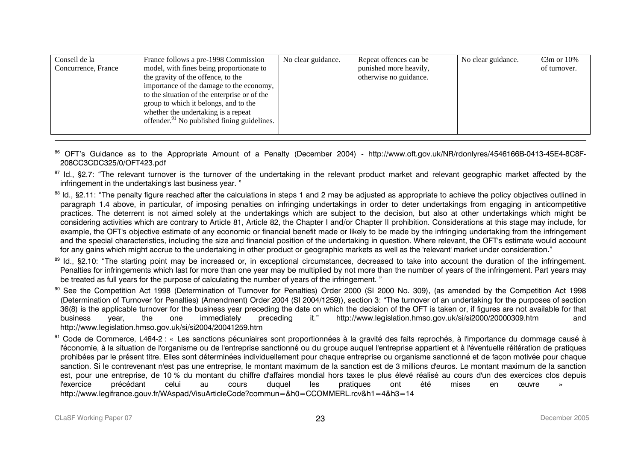| Conseil de la       | France follows a pre-1998 Commission                    | No clear guidance. | Repeat offences can be | No clear guidance. | $\mathfrak{S}$ m or 10% |
|---------------------|---------------------------------------------------------|--------------------|------------------------|--------------------|-------------------------|
| Concurrence, France | model, with fines being proportionate to                |                    | punished more heavily, |                    | of turnover.            |
|                     | the gravity of the offence, to the                      |                    | otherwise no guidance. |                    |                         |
|                     | importance of the damage to the economy,                |                    |                        |                    |                         |
|                     | to the situation of the enterprise or of the            |                    |                        |                    |                         |
|                     | group to which it belongs, and to the                   |                    |                        |                    |                         |
|                     | whether the undertaking is a repeat                     |                    |                        |                    |                         |
|                     | offender. <sup>91</sup> No published fining guidelines. |                    |                        |                    |                         |
|                     |                                                         |                    |                        |                    |                         |

<sup>86</sup> OFT's Guidance as to the Appropriate Amount of a Penalty (December 2004) - http://www.oft.gov.uk/NR/rdonlyres/4546166B-0413-45E4-8C8F-208CC3CDC325/0/OFT423.pdf

87 Id., §2.7: "The relevant turnover is the turnover of the undertaking in the relevant product market and relevant geographic market affected by the infringement in the undertaking's last business year. "

<sup>88</sup> Id., §2.11: "The penalty figure reached after the calculations in steps 1 and 2 may be adjusted as appropriate to achieve the policy objectives outlined in paragraph 1.4 above, in particular, of imposing penalties on infringing undertakings in order to deter undertakings from engaging in anticompetitive practices. The deterrent is not aimed solely at the undertakings which are subject to the decision, but also at other undertakings which might be considering activities which are contrary to Article 81, Article 82, the Chapter I and/or Chapter II prohibition. Considerations at this stage may include, for example, the OFT's objective estimate of any economic or financial benefit made or likely to be made by the infringing undertaking from the infringement and the special characteristics, including the size and financial position of the undertaking in question. Where relevant, the OFT's estimate would account for any gains which might accrue to the undertaking in other product or geographic markets as well as the 'relevant' market under consideration."

89 Id., §2.10: "The starting point may be increased or, in exceptional circumstances, decreased to take into account the duration of the infringement. Penalties for infringements which last for more than one year may be multiplied by not more than the number of years of the infringement. Part years may be treated as full years for the purpose of calculating the number of years of the infringement. "

<sup>90</sup> See the Competition Act 1998 (Determination of Turnover for Penalties) Order 2000 (SI 2000 No. 309), (as amended by the Competition Act 1998 (Determination of Turnover for Penalties) (Amendment) Order 2004 (SI 2004/1259)), section 3: "The turnover of an undertaking for the purposes of section 36(8) is the applicable turnover for the business year preceding the date on which the decision of the OFT is taken or, if figures are not available for that business year, the one immediately preceding it." http://www.legislation.hmso.gov.uk/si/si2000/20000309.htm and http://www.legislation.hmso.gov.uk/si/si2004/20041259.htm

<span id="page-22-0"></span>91 Code de Commerce, L464-2 : « Les sanctions pécuniaires sont proportionnées à la gravité des faits reprochés, à l'importance du dommage causé à l'économie, à la situation de l'organisme ou de l'entreprise sanctionné ou du groupe auquel l'entreprise appartient et à l'éventuelle réitération de pratiques prohibées par le présent titre. Elles sont déterminées individuellement pour chaque entreprise ou organisme sanctionné et de façon motivée pour chaque sanction. Si le contrevenant n'est pas une entreprise, le montant maximum de la sanction est de 3 millions d'euros. Le montant maximum de la sanction est, pour une entreprise, de 10 % du montant du chiffre d'affaires mondial hors taxes le plus élevé réalisé au cours d'un des exercices clos depuis l'exercice précédant celui au cours duquel les pratiques ont été mises en œuvre » http://www.legifrance.gouv.fr/WAspad/VisuArticleCode?commun=&h0=CCOMMERL.rcv&h1=4&h3=14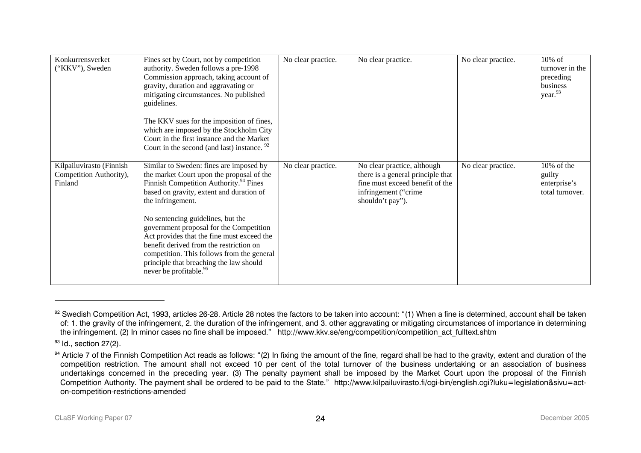<span id="page-23-1"></span>

| Konkurrensverket<br>("KKV"), Sweden                            | Fines set by Court, not by competition<br>authority. Sweden follows a pre-1998<br>Commission approach, taking account of<br>gravity, duration and aggravating or<br>mitigating circumstances. No published<br>guidelines.<br>The KKV sues for the imposition of fines,<br>which are imposed by the Stockholm City<br>Court in the first instance and the Market<br>Court in the second (and last) instance. <sup>92</sup>                                                                                           | No clear practice. | No clear practice.                                                                                                                               | No clear practice. | $10\%$ of<br>turnover in the<br>preceding<br>business<br>year. <sup>93</sup> |
|----------------------------------------------------------------|---------------------------------------------------------------------------------------------------------------------------------------------------------------------------------------------------------------------------------------------------------------------------------------------------------------------------------------------------------------------------------------------------------------------------------------------------------------------------------------------------------------------|--------------------|--------------------------------------------------------------------------------------------------------------------------------------------------|--------------------|------------------------------------------------------------------------------|
| Kilpailuvirasto (Finnish<br>Competition Authority),<br>Finland | Similar to Sweden: fines are imposed by<br>the market Court upon the proposal of the<br>Finnish Competition Authority. <sup>94</sup> Fines<br>based on gravity, extent and duration of<br>the infringement.<br>No sentencing guidelines, but the<br>government proposal for the Competition<br>Act provides that the fine must exceed the<br>benefit derived from the restriction on<br>competition. This follows from the general<br>principle that breaching the law should<br>never be profitable. <sup>95</sup> | No clear practice. | No clear practice, although<br>there is a general principle that<br>fine must exceed benefit of the<br>infringement ("crime"<br>shouldn't pay"). | No clear practice. | 10% of the<br>guilty<br>enterprise's<br>total turnover.                      |

<sup>92</sup> Swedish Competition Act, 1993, articles 26-28. Article 28 notes the factors to be taken into account: "(1) When a fine is determined, account shall be taken of: 1. the gravity of the infringement, 2. the duration of the infringement, and 3. other aggravating or mitigating circumstances of importance in determining the infringement. (2) In minor cases no fine shall be imposed." http://www.kkv.se/eng/competition/competition act fulltext.shtm

 $93$  Id., section 27(2).

<span id="page-23-3"></span><span id="page-23-2"></span><span id="page-23-0"></span><sup>&</sup>lt;sup>94</sup> Article 7 of the Finnish Competition Act reads as follows: "(2) In fixing the amount of the fine, regard shall be had to the gravity, extent and duration of the competition restriction. The amount shall not exceed 10 per cent of the total turnover of the business undertaking or an association of business undertakings concerned in the preceding year. (3) The penalty payment shall be imposed by the Market Court upon the proposal of the Finnish Competition Authority. The payment shall be ordered to be paid to the State." http://www.kilpailuvirasto.fi/cgi-bin/english.cgi?luku=legislation&sivu=acton-competition-restrictions-amended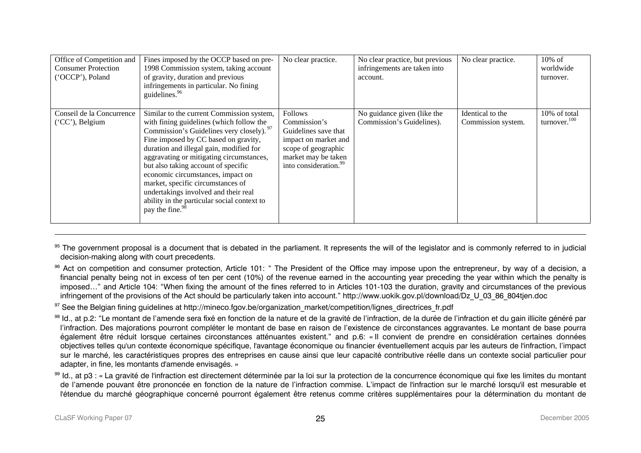| Office of Competition and<br><b>Consumer Protection</b><br>('OCCP'), Poland | Fines imposed by the OCCP based on pre-<br>1998 Commission system, taking account<br>of gravity, duration and previous<br>infringements in particular. No fining<br>guidelines. <sup>96</sup>                                                                                                                                                                                                                                                                                                            | No clear practice.                                                                                                                                                | No clear practice, but previous<br>infringements are taken into<br>account. | No clear practice.                     | $10\%$ of<br>worldwide<br>turnover. |
|-----------------------------------------------------------------------------|----------------------------------------------------------------------------------------------------------------------------------------------------------------------------------------------------------------------------------------------------------------------------------------------------------------------------------------------------------------------------------------------------------------------------------------------------------------------------------------------------------|-------------------------------------------------------------------------------------------------------------------------------------------------------------------|-----------------------------------------------------------------------------|----------------------------------------|-------------------------------------|
| Conseil de la Concurrence<br>$(CC')$ , Belgium                              | Similar to the current Commission system,<br>with fining guidelines (which follow the<br>Commission's Guidelines very closely). 97<br>Fine imposed by CC based on gravity,<br>duration and illegal gain, modified for<br>aggravating or mitigating circumstances,<br>but also taking account of specific<br>economic circumstances, impact on<br>market, specific circumstances of<br>undertakings involved and their real<br>ability in the particular social context to<br>pay the fine. <sup>98</sup> | <b>Follows</b><br>Commission's<br>Guidelines save that<br>impact on market and<br>scope of geographic<br>market may be taken<br>into consideration. <sup>99</sup> | No guidance given (like the<br>Commission's Guidelines).                    | Identical to the<br>Commission system. | 10% of total<br>turnover. $100$     |

<sup>95</sup> The government proposal is a document that is debated in the parliament. It represents the will of the legislator and is commonly referred to in judicial decision-making along with court precedents.

<sup>96</sup> Act on competition and consumer protection, Article 101: " The President of the Office may impose upon the entrepreneur, by way of a decision, a financial penalty being not in excess of ten per cent (10%) of the revenue earned in the accounting year preceding the year within which the penalty is imposed…" and Article 104: "When fixing the amount of the fines referred to in Articles 101-103 the duration, gravity and circumstances of the previous infringement of the provisions of the Act should be particularly taken into account." http://www.uokik.gov.pl/download/Dz\_U\_03\_86\_804tjen.doc

97 See the Belgian fining quidelines at http://mineco.fgov.be/organization\_market/competition/lignes\_directrices\_fr.pdf

<sup>98</sup> Id., at p.2: "Le montant de l'amende sera fixé en fonction de la nature et de la gravité de l'infraction, de la durée de l'infraction et du gain illicite généré par l'infraction. Des majorations pourront compléter le montant de base en raison de l'existence de circonstances aggravantes. Le montant de base pourra également être réduit lorsque certaines circonstances atténuantes existent." and p.6: « Il convient de prendre en considération certaines données objectives telles qu'un contexte économique spécifique, l'avantage économique ou financier éventuellement acquis par les auteurs de l'infraction, l'impact sur le marché, les caractéristiques propres des entreprises en cause ainsi que leur capacité contributive réelle dans un contexte social particulier pour adapter, in fine, les montants d'amende envisagés. »

<span id="page-24-4"></span><span id="page-24-3"></span><span id="page-24-2"></span><span id="page-24-1"></span><span id="page-24-0"></span>99 Id., at p3 : « La gravité de l'infraction est directement déterminée par la loi sur la protection de la concurrence économique qui fixe les limites du montant de l'amende pouvant être prononcée en fonction de la nature de l'infraction commise. L'impact de l'infraction sur le marché lorsqu'il est mesurable et l'étendue du marché géographique concerné pourront également être retenus comme critères supplémentaires pour la détermination du montant de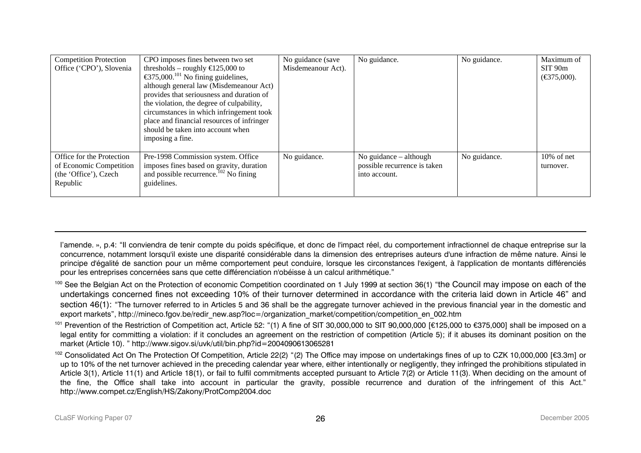| <b>Competition Protection</b> | CPO imposes fines between two set                                    | No guidance (save  | No guidance.                 | No guidance. | Maximum of                       |
|-------------------------------|----------------------------------------------------------------------|--------------------|------------------------------|--------------|----------------------------------|
| Office ('CPO'), Slovenia      | thresholds – roughly $\text{E}25,000$ to                             | Misdemeanour Act). |                              |              | SIT 90m                          |
|                               | $\text{\textsterling}375,000$ . <sup>101</sup> No fining guidelines, |                    |                              |              | $(\text{\textsterling}375,000).$ |
|                               | although general law (Misdemeanour Act)                              |                    |                              |              |                                  |
|                               | provides that seriousness and duration of                            |                    |                              |              |                                  |
|                               | the violation, the degree of culpability,                            |                    |                              |              |                                  |
|                               | circumstances in which infringement took                             |                    |                              |              |                                  |
|                               | place and financial resources of infringer                           |                    |                              |              |                                  |
|                               | should be taken into account when                                    |                    |                              |              |                                  |
|                               | imposing a fine.                                                     |                    |                              |              |                                  |
|                               |                                                                      |                    |                              |              |                                  |
| Office for the Protection     | Pre-1998 Commission system. Office                                   | No guidance.       | No guidance $-$ although     | No guidance. | $10\%$ of net                    |
| of Economic Competition       | imposes fines based on gravity, duration                             |                    | possible recurrence is taken |              | turnover.                        |
| (the 'Office'), Czech         | and possible recurrence. <sup>102</sup> No fining                    |                    | into account.                |              |                                  |
| Republic                      | guidelines.                                                          |                    |                              |              |                                  |
|                               |                                                                      |                    |                              |              |                                  |

l'amende. », p.4: "Il conviendra de tenir compte du poids spécifique, et donc de l'impact réel, du comportement infractionnel de chaque entreprise sur la concurrence, notamment lorsqu'il existe une disparité considérable dans la dimension des entreprises auteurs d'une infraction de même nature. Ainsi le principe d'égalité de sanction pour un même comportement peut conduire, lorsque les circonstances l'exigent, à l'application de montants différenciés pour les entreprises concernées sans que cette différenciation n'obéisse à un calcul arithmétique."

<sup>100</sup> See the Belgian Act on the Protection of economic Competition coordinated on 1 July 1999 at section 36(1) "the Council may impose on each of the undertakings concerned fines not exceeding 10% of their turnover determined in accordance with the criteria laid down in Article 46" and section 46(1): "The turnover referred to in Articles 5 and 36 shall be the aggregate turnover achieved in the previous financial year in the domestic and export markets", http://mineco.fgov.be/redir\_new.asp?loc=/organization\_market/competition/competition\_en\_002.htm

<sup>101</sup> Prevention of the Restriction of Competition act, Article 52: "(1) A fine of SIT 30,000,000 to SIT 90,000,000 [€125,000 to €375,000] shall be imposed on a legal entity for committing a violation: if it concludes an agreement on the restriction of competition (Article 5); if it abuses its dominant position on the market (Article 10). " http://www.sigov.si/uvk/util/bin.php?id=2004090613065281

<span id="page-25-1"></span><span id="page-25-0"></span><sup>102</sup> Consolidated Act On The Protection Of Competition, Article 22(2) "(2) The Office may impose on undertakings fines of up to CZK 10,000,000 [€3.3m] or up to 10% of the net turnover achieved in the preceding calendar year where, either intentionally or negligently, they infringed the prohibitions stipulated in Article 3(1), Article 11(1) and Article 18(1), or fail to fulfil commitments accepted pursuant to Article 7(2) or Article 11(3). When deciding on the amount of the fine, the Office shall take into account in particular the gravity, possible recurrence and duration of the infringement of this Act." http://www.compet.cz/English/HS/Zakony/ProtComp2004.doc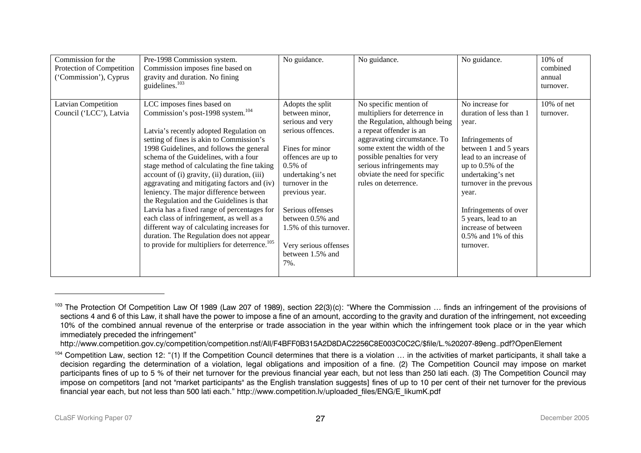| Commission for the<br>Protection of Competition<br>('Commission'), Cyprus | Pre-1998 Commission system.<br>Commission imposes fine based on<br>gravity and duration. No fining<br>guidelines. $103$                                                                                                                                                                                                                                                                                                                                                                                                                                                                                                                                                                                                                        | No guidance.                                                                                                                                                                                                                                                                                                       | No guidance.                                                                                                                                                                                                                                                                                              | No guidance.                                                                                                                                                                                                                                                                                                              | $10\%$ of<br>combined<br>annual<br>turnover. |
|---------------------------------------------------------------------------|------------------------------------------------------------------------------------------------------------------------------------------------------------------------------------------------------------------------------------------------------------------------------------------------------------------------------------------------------------------------------------------------------------------------------------------------------------------------------------------------------------------------------------------------------------------------------------------------------------------------------------------------------------------------------------------------------------------------------------------------|--------------------------------------------------------------------------------------------------------------------------------------------------------------------------------------------------------------------------------------------------------------------------------------------------------------------|-----------------------------------------------------------------------------------------------------------------------------------------------------------------------------------------------------------------------------------------------------------------------------------------------------------|---------------------------------------------------------------------------------------------------------------------------------------------------------------------------------------------------------------------------------------------------------------------------------------------------------------------------|----------------------------------------------|
| <b>Latvian Competition</b><br>Council ('LCC'), Latvia                     | LCC imposes fines based on<br>Commission's post-1998 system. <sup>104</sup><br>Latvia's recently adopted Regulation on<br>setting of fines is akin to Commission's<br>1998 Guidelines, and follows the general<br>schema of the Guidelines, with a four<br>stage method of calculating the fine taking<br>account of (i) gravity, (ii) duration, (iii)<br>aggravating and mitigating factors and (iv)<br>leniency. The major difference between<br>the Regulation and the Guidelines is that<br>Latvia has a fixed range of percentages for<br>each class of infringement, as well as a<br>different way of calculating increases for<br>duration. The Regulation does not appear<br>to provide for multipliers for deterrence. <sup>105</sup> | Adopts the split<br>between minor,<br>serious and very<br>serious offences.<br>Fines for minor<br>offences are up to<br>$0.5\%$ of<br>undertaking's net<br>turnover in the<br>previous year.<br>Serious offenses<br>between 0.5% and<br>1.5% of this turnover.<br>Very serious offenses<br>between 1.5% and<br>7%. | No specific mention of<br>multipliers for deterrence in<br>the Regulation, although being<br>a repeat offender is an<br>aggravating circumstance. To<br>some extent the width of the<br>possible penalties for very<br>serious infringements may<br>obviate the need for specific<br>rules on deterrence. | No increase for<br>duration of less than 1<br>year.<br>Infringements of<br>between 1 and 5 years<br>lead to an increase of<br>up to $0.5\%$ of the<br>undertaking's net<br>turnover in the prevous<br>year.<br>Infringements of over<br>5 years, lead to an<br>increase of between<br>$0.5\%$ and 1% of this<br>turnover. | 10% of net<br>turnover.                      |

<sup>&</sup>lt;sup>103</sup> The Protection Of Competition Law Of 1989 (Law 207 of 1989), section 22(3)(c): "Where the Commission ... finds an infringement of the provisions of sections 4 and 6 of this Law, it shall have the power to impose a fine of an amount, according to the gravity and duration of the infringement, not exceeding 10% of the combined annual revenue of the enterprise or trade association in the year within which the infringement took place or in the year which immediately preceded the infringement"

http://www.competition.gov.cy/competition/competition.nsf/All/F4BFF0B315A2D8DAC2256C8E003C0C2C/\$file/L.%20207-89eng..pdf?OpenElement

<span id="page-26-2"></span><span id="page-26-1"></span><span id="page-26-0"></span><sup>&</sup>lt;sup>104</sup> Competition Law, section 12: "(1) If the Competition Council determines that there is a violation ... in the activities of market participants, it shall take a decision regarding the determination of a violation, legal obligations and imposition of a fine. (2) The Competition Council may impose on market participants fines of up to 5 % of their net turnover for the previous financial year each, but not less than 250 lati each. (3) The Competition Council may impose on competitors [and not "market participants" as the English translation suggests] fines of up to 10 per cent of their net turnover for the previous financial year each, but not less than 500 lati each." http://www.competition.lv/uploaded\_files/ENG/E\_likumK.pdf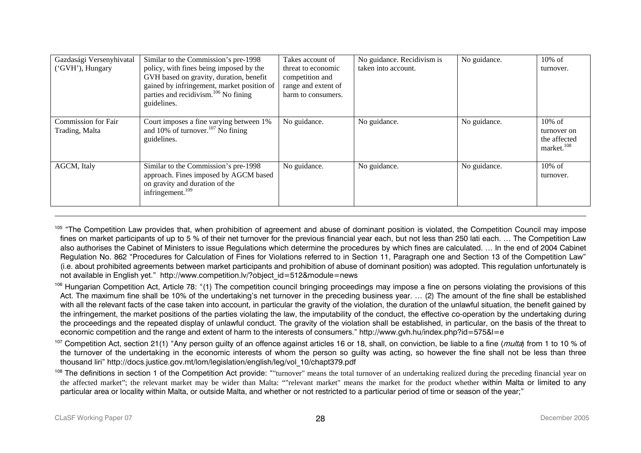| Gazdasági Versenyhivatal   | Similar to the Commission's pre-1998                                                        | Takes account of    | No guidance. Recidivism is | No guidance. | $10\%$ of                   |
|----------------------------|---------------------------------------------------------------------------------------------|---------------------|----------------------------|--------------|-----------------------------|
| ('GVH'), Hungary           | policy, with fines being imposed by the                                                     | threat to economic  | taken into account.        |              | turnover.                   |
|                            | GVH based on gravity, duration, benefit                                                     | competition and     |                            |              |                             |
|                            | gained by infringement, market position of                                                  | range and extent of |                            |              |                             |
|                            | parties and recidivism. <sup>106</sup> No fining                                            | harm to consumers.  |                            |              |                             |
|                            | guidelines.                                                                                 |                     |                            |              |                             |
|                            |                                                                                             |                     |                            |              |                             |
| <b>Commission for Fair</b> | Court imposes a fine varying between 1%<br>and $10\%$ of turnover. <sup>107</sup> No fining | No guidance.        | No guidance.               | No guidance. | $10\%$ of                   |
| Trading, Malta             | guidelines.                                                                                 |                     |                            |              | turnover on<br>the affected |
|                            |                                                                                             |                     |                            |              | market. <sup>108</sup>      |
|                            |                                                                                             |                     |                            |              |                             |
| AGCM, Italy                | Similar to the Commission's pre-1998                                                        | No guidance.        | No guidance.               | No guidance. | $10\% \text{ of }$          |
|                            | approach. Fines imposed by AGCM based                                                       |                     |                            |              | turnover.                   |
|                            | on gravity and duration of the                                                              |                     |                            |              |                             |
|                            | infringement. <sup>109</sup>                                                                |                     |                            |              |                             |
|                            |                                                                                             |                     |                            |              |                             |

<sup>105</sup> "The Competition Law provides that, when prohibition of agreement and abuse of dominant position is violated, the Competition Council may impose fines on market participants of up to 5 % of their net turnover for the previous financial year each, but not less than 250 lati each. … The Competition Law also authorises the Cabinet of Ministers to issue Regulations which determine the procedures by which fines are calculated. … In the end of 2004 Cabinet Regulation No. 862 "Procedures for Calculation of Fines for Violations referred to in Section 11, Paragraph one and Section 13 of the Competition Law" (i.e. about prohibited agreements between market participants and prohibition of abuse of dominant position) was adopted. This regulation unfortunately is not available in English yet." http://www.competition.lv/?object\_id=512&module=news

<sup>106</sup> Hungarian Competition Act, Article 78: "(1) The competition council bringing proceedings may impose a fine on persons violating the provisions of this Act. The maximum fine shall be 10% of the undertaking's net turnover in the preceding business year. … (2) The amount of the fine shall be established with all the relevant facts of the case taken into account, in particular the gravity of the violation, the duration of the unlawful situation, the benefit gained by the infringement, the market positions of the parties violating the law, the imputability of the conduct, the effective co-operation by the undertaking during the proceedings and the repeated display of unlawful conduct. The gravity of the violation shall be established, in particular, on the basis of the threat to economic competition and the range and extent of harm to the interests of consumers." http://www.gvh.hu/index.php?id=575&l=e

<sup>107</sup> Competition Act, section 21(1) "Any person quilty of an offence against articles 16 or 18, shall, on conviction, be liable to a fine (*multa*) from 1 to 10 % of the turnover of the undertaking in the economic interests of whom the person so guilty was acting, so however the fine shall not be less than three thousand liri" http://docs.justice.gov.mt/lom/legislation/english/leg/vol\_10/chapt379.pdf

<span id="page-27-3"></span><span id="page-27-2"></span><span id="page-27-1"></span><span id="page-27-0"></span><sup>108</sup> The definitions in section 1 of the Competition Act provide: ""turnover" means the total turnover of an undertaking realized during the preceding financial year on the affected market"; the relevant market may be wider than Malta: ""relevant market" means the market for the product whether within Malta or limited to any particular area or locality within Malta, or outside Malta, and whether or not restricted to a particular period of time or season of the year;"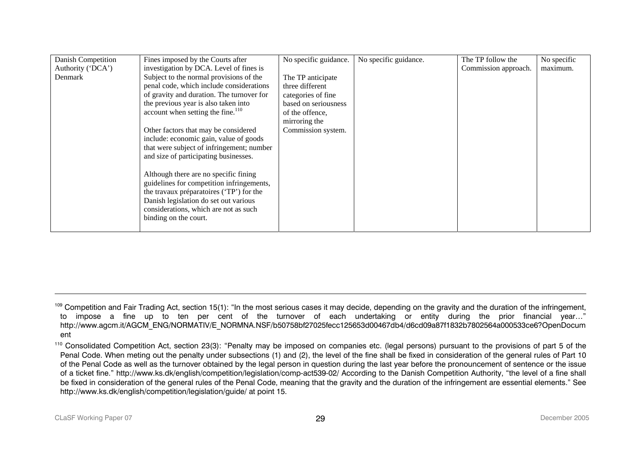| Danish Competition | Fines imposed by the Courts after             | No specific guidance. | No specific guidance. | The TP follow the    | No specific |
|--------------------|-----------------------------------------------|-----------------------|-----------------------|----------------------|-------------|
| Authority ('DCA')  | investigation by DCA. Level of fines is       |                       |                       | Commission approach. | maximum.    |
| Denmark            | Subject to the normal provisions of the       | The TP anticipate     |                       |                      |             |
|                    | penal code, which include considerations      | three different       |                       |                      |             |
|                    | of gravity and duration. The turnover for     | categories of fine    |                       |                      |             |
|                    | the previous year is also taken into          | based on seriousness  |                       |                      |             |
|                    | account when setting the fine. <sup>110</sup> | of the offence.       |                       |                      |             |
|                    |                                               | mirroring the         |                       |                      |             |
|                    | Other factors that may be considered          | Commission system.    |                       |                      |             |
|                    | include: economic gain, value of goods        |                       |                       |                      |             |
|                    | that were subject of infringement; number     |                       |                       |                      |             |
|                    | and size of participating businesses.         |                       |                       |                      |             |
|                    |                                               |                       |                       |                      |             |
|                    | Although there are no specific fining         |                       |                       |                      |             |
|                    | guidelines for competition infringements,     |                       |                       |                      |             |
|                    | the travaux préparatoires ('TP') for the      |                       |                       |                      |             |
|                    | Danish legislation do set out various         |                       |                       |                      |             |
|                    | considerations, which are not as such         |                       |                       |                      |             |
|                    | binding on the court.                         |                       |                       |                      |             |
|                    |                                               |                       |                       |                      |             |

<sup>&</sup>lt;sup>109</sup> Competition and Fair Trading Act, section 15(1): "In the most serious cases it may decide, depending on the gravity and the duration of the infringement, to impose a fine up to ten per cent of the turnover of each undertaking or entity during the prior financial year…" http://www.agcm.it/AGCM\_ENG/NORMATIV/E\_NORMNA.NSF/b50758bf27025fecc125653d00467db4/d6cd09a87f1832b7802564a000533ce6?OpenDocum ent

<span id="page-28-0"></span><sup>&</sup>lt;sup>110</sup> Consolidated Competition Act, section 23(3): "Penalty may be imposed on companies etc. (legal persons) pursuant to the provisions of part 5 of the Penal Code. When meting out the penalty under subsections (1) and (2), the level of the fine shall be fixed in consideration of the general rules of Part 10 of the Penal Code as well as the turnover obtained by the legal person in question during the last year before the pronouncement of sentence or the issue of a ticket fine." http://www.ks.dk/english/competition/legislation/comp-act539-02/ According to the Danish Competition Authority, "the level of a fine shall be fixed in consideration of the general rules of the Penal Code, meaning that the gravity and the duration of the infringement are essential elements." See http://www.ks.dk/english/competition/legislation/guide/ at point 15.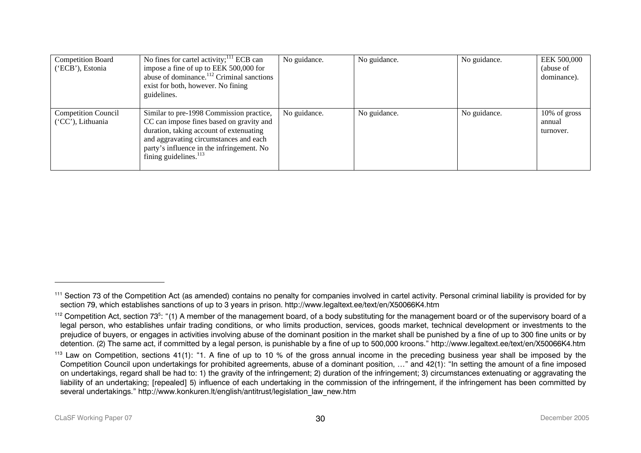| <b>Competition Board</b><br>('ECB'), Estonia    | No fines for cartel activity; $^{111}$ ECB can<br>impose a fine of up to EEK 500,000 for<br>abuse of dominance. <sup>112</sup> Criminal sanctions<br>exist for both, however. No fining<br>guidelines.                                                | No guidance. | No guidance. | No guidance. | EEK 500,000<br>(abuse of<br>dominance). |
|-------------------------------------------------|-------------------------------------------------------------------------------------------------------------------------------------------------------------------------------------------------------------------------------------------------------|--------------|--------------|--------------|-----------------------------------------|
| <b>Competition Council</b><br>('CC'), Lithuania | Similar to pre-1998 Commission practice,<br>CC can impose fines based on gravity and<br>duration, taking account of extenuating<br>and aggravating circumstances and each<br>party's influence in the infringement. No<br>fining guidelines. $^{113}$ | No guidance. | No guidance. | No guidance. | $10\%$ of gross<br>annual<br>turnover.  |

<sup>&</sup>lt;sup>111</sup> Section 73 of the Competition Act (as amended) contains no penalty for companies involved in cartel activity. Personal criminal liability is provided for by section 79, which establishes sanctions of up to 3 years in prison. http://www.legaltext.ee/text/en/X50066K4.htm

 $112$  Competition Act, section 73<sup>5</sup>: "(1) A member of the management board, of a body substituting for the management board or of the supervisory board of a legal person, who establishes unfair trading conditions, or who limits production, services, goods market, technical development or investments to the prejudice of buyers, or engages in activities involving abuse of the dominant position in the market shall be punished by a fine of up to 300 fine units or by detention. (2) The same act, if committed by a legal person, is punishable by a fine of up to 500,000 kroons." http://www.legaltext.ee/text/en/X50066K4.htm

<span id="page-29-2"></span><span id="page-29-1"></span><span id="page-29-0"></span><sup>&</sup>lt;sup>113</sup> Law on Competition, sections 41(1): "1. A fine of up to 10 % of the gross annual income in the preceding business year shall be imposed by the Competition Council upon undertakings for prohibited agreements, abuse of a dominant position, …" and 42(1): "In setting the amount of a fine imposed on undertakings, regard shall be had to: 1) the gravity of the infringement; 2) duration of the infringement; 3) circumstances extenuating or aggravating the liability of an undertaking; [repealed] 5) influence of each undertaking in the commission of the infringement, if the infringement has been committed by several undertakings." http://www.konkuren.lt/english/antitrust/legislation\_law\_new.htm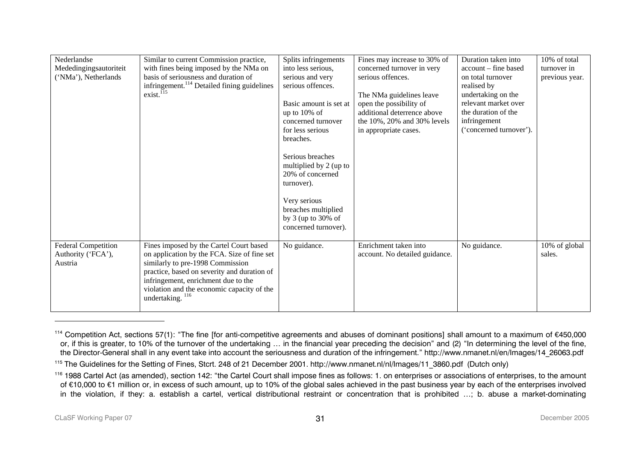| Nederlandse<br>Mededingingsautoriteit<br>('NMa'), Netherlands | Similar to current Commission practice,<br>with fines being imposed by the NMa on<br>basis of seriousness and duration of<br>infringement. <sup>114</sup> Detailed fining guidelines<br>exist. <sup>115</sup>                                                                      | Splits infringements<br>into less serious,<br>serious and very<br>serious offences.<br>Basic amount is set at<br>up to $10\%$ of<br>concerned turnover<br>for less serious<br>breaches.<br>Serious breaches<br>multiplied by 2 (up to<br>20% of concerned<br>turnover).<br>Very serious<br>breaches multiplied<br>by 3 (up to 30% of<br>concerned turnover). | Fines may increase to 30% of<br>concerned turnover in very<br>serious offences.<br>The NMa guidelines leave<br>open the possibility of<br>additional deterrence above<br>the 10%, 20% and 30% levels<br>in appropriate cases. | Duration taken into<br>account – fine based<br>on total turnover<br>realised by<br>undertaking on the<br>relevant market over<br>the duration of the<br>infringement<br>('concerned turnover'). | 10% of total<br>turnover in<br>previous year. |
|---------------------------------------------------------------|------------------------------------------------------------------------------------------------------------------------------------------------------------------------------------------------------------------------------------------------------------------------------------|--------------------------------------------------------------------------------------------------------------------------------------------------------------------------------------------------------------------------------------------------------------------------------------------------------------------------------------------------------------|-------------------------------------------------------------------------------------------------------------------------------------------------------------------------------------------------------------------------------|-------------------------------------------------------------------------------------------------------------------------------------------------------------------------------------------------|-----------------------------------------------|
| <b>Federal Competition</b><br>Authority ('FCA'),<br>Austria   | Fines imposed by the Cartel Court based<br>on application by the FCA. Size of fine set<br>similarly to pre-1998 Commission<br>practice, based on severity and duration of<br>infringement, enrichment due to the<br>violation and the economic capacity of the<br>undertaking. 116 | No guidance.                                                                                                                                                                                                                                                                                                                                                 | Enrichment taken into<br>account. No detailed guidance.                                                                                                                                                                       | No guidance.                                                                                                                                                                                    | 10% of global<br>sales.                       |

<sup>&</sup>lt;sup>114</sup> Competition Act, sections 57(1): "The fine [for anti-competitive agreements and abuses of dominant positions] shall amount to a maximum of €450,000 or, if this is greater, to 10% of the turnover of the undertaking … in the financial year preceding the decision" and (2) "In determining the level of the fine, the Director-General shall in any event take into account the seriousness and duration of the infringement." http://www.nmanet.nl/en/Images/14\_26063.pdf

<sup>115</sup> The Guidelines for the Setting of Fines, Stcrt. 248 of 21 December 2001. http://www.nmanet.nl/nl/Images/11\_3860.pdf (Dutch only)

<span id="page-30-2"></span><span id="page-30-1"></span><span id="page-30-0"></span><sup>&</sup>lt;sup>116</sup> 1988 Cartel Act (as amended), section 142: "the Cartel Court shall impose fines as follows: 1. on enterprises or associations of enterprises, to the amount of €10,000 to €1 million or, in excess of such amount, up to 10% of the global sales achieved in the past business year by each of the enterprises involved in the violation, if they: a. establish a cartel, vertical distributional restraint or concentration that is prohibited …; b. abuse a market-dominating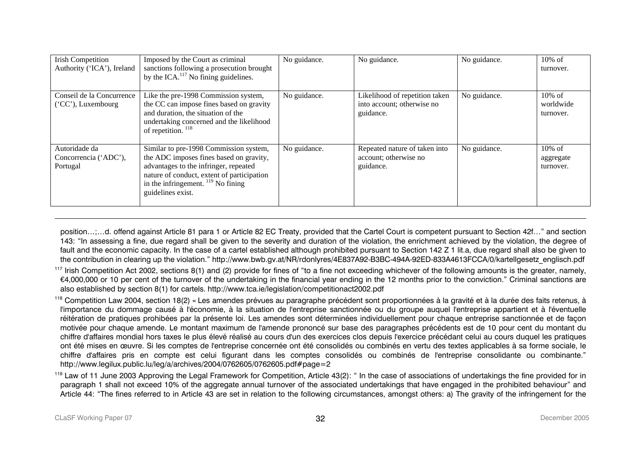| <b>Irish Competition</b><br>Authority ('ICA'), Ireland | Imposed by the Court as criminal<br>sanctions following a prosecution brought<br>by the ICA. $^{117}$ No fining guidelines.                                                                                                                       | No guidance. | No guidance.                                                              | No guidance. | $10\% \text{ of }$<br>turnover.              |
|--------------------------------------------------------|---------------------------------------------------------------------------------------------------------------------------------------------------------------------------------------------------------------------------------------------------|--------------|---------------------------------------------------------------------------|--------------|----------------------------------------------|
| Conseil de la Concurrence<br>$(CC')$ , Luxembourg      | Like the pre-1998 Commission system,<br>the CC can impose fines based on gravity<br>and duration, the situation of the<br>undertaking concerned and the likelihood<br>of repetition. <sup>118</sup>                                               | No guidance. | Likelihood of repetition taken<br>into account; otherwise no<br>guidance. | No guidance. | $10\% \text{ of }$<br>worldwide<br>turnover. |
| Autoridade da<br>Concorrencia ('ADC'),<br>Portugal     | Similar to pre-1998 Commission system,<br>the ADC imposes fines based on gravity,<br>advantages to the infringer, repeated<br>nature of conduct, extent of participation<br>in the infringement. $\frac{119}{119}$ No fining<br>guidelines exist. | No guidance. | Repeated nature of taken into<br>account; otherwise no<br>guidance.       | No guidance. | $10\%$ of<br>aggregate<br>turnover.          |

position…;…d. offend against Article 81 para 1 or Article 82 EC Treaty, provided that the Cartel Court is competent pursuant to Section 42f…" and section 143: "In assessing a fine, due regard shall be given to the severity and duration of the violation, the enrichment achieved by the violation, the degree of fault and the economic capacity. In the case of a cartel established although prohibited pursuant to Section 142 Z 1 lit.a, due regard shall also be given to the contribution in clearing up the violation." http://www.bwb.gv.at/NR/rdonlyres/4E837A92-B3BC-494A-92ED-833A4613FCCA/0/kartellgesetz\_englisch.pdf

<sup>117</sup> Irish Competition Act 2002, sections 8(1) and (2) provide for fines of "to a fine not exceeding whichever of the following amounts is the greater, namely, €4,000,000 or 10 per cent of the turnover of the undertaking in the financial year ending in the 12 months prior to the conviction." Criminal sanctions are also established by section 8(1) for cartels. http://www.tca.ie/legislation/competitionact2002.pdf

<sup>118</sup> Competition Law 2004, section 18(2) « Les amendes prévues au paragraphe précédent sont proportionnées à la gravité et à la durée des faits retenus, à l'importance du dommage causé à l'économie, à la situation de l'entreprise sanctionnée ou du groupe auquel l'entreprise appartient et à l'éventuelle réitération de pratiques prohibées par la présente loi. Les amendes sont déterminées individuellement pour chaque entreprise sanctionnée et de façon motivée pour chaque amende. Le montant maximum de l'amende prononcé sur base des paragraphes précédents est de 10 pour cent du montant du chiffre d'affaires mondial hors taxes le plus élevé réalisé au cours d'un des exercices clos depuis l'exercice précédant celui au cours duquel les pratiques ont été mises en œuvre. Si les comptes de l'entreprise concernée ont été consolidés ou combinés en vertu des textes applicables à sa forme sociale, le chiffre d'affaires pris en compte est celui figurant dans les comptes consolidés ou combinés de l'entreprise consolidante ou combinante." http://www.legilux.public.lu/leg/a/archives/2004/0762605/0762605.pdf#page=2

<span id="page-31-2"></span><span id="page-31-1"></span><span id="page-31-0"></span><sup>119</sup> Law of 11 June 2003 Approving the Legal Framework for Competition, Article 43(2): " In the case of associations of undertakings the fine provided for in paragraph 1 shall not exceed 10% of the aggregate annual turnover of the associated undertakings that have engaged in the prohibited behaviour" and Article 44: "The fines referred to in Article 43 are set in relation to the following circumstances, amongst others: a) The gravity of the infringement for the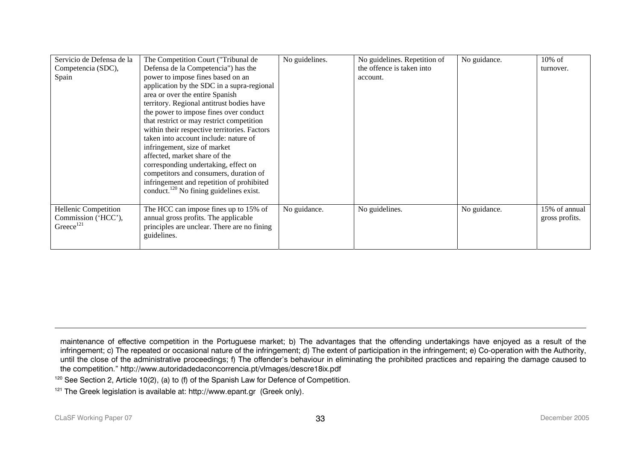| Servicio de Defensa de la<br>Competencia (SDC),<br>Spain       | The Competition Court ("Tribunal de<br>Defensa de la Competencia") has the<br>power to impose fines based on an<br>application by the SDC in a supra-regional<br>area or over the entire Spanish<br>territory. Regional antitrust bodies have<br>the power to impose fines over conduct<br>that restrict or may restrict competition<br>within their respective territories. Factors<br>taken into account include: nature of<br>infringement, size of market<br>affected, market share of the<br>corresponding undertaking, effect on<br>competitors and consumers, duration of<br>infringement and repetition of prohibited | No guidelines. | No guidelines. Repetition of<br>the offence is taken into<br>account. | No guidance. | $10\%$ of<br>turnover.          |
|----------------------------------------------------------------|-------------------------------------------------------------------------------------------------------------------------------------------------------------------------------------------------------------------------------------------------------------------------------------------------------------------------------------------------------------------------------------------------------------------------------------------------------------------------------------------------------------------------------------------------------------------------------------------------------------------------------|----------------|-----------------------------------------------------------------------|--------------|---------------------------------|
|                                                                | conduct. <sup>120</sup> No fining guidelines exist.                                                                                                                                                                                                                                                                                                                                                                                                                                                                                                                                                                           |                |                                                                       |              |                                 |
| Hellenic Competition<br>Commission ('HCC'),<br>Greece $^{121}$ | The HCC can impose fines up to 15% of<br>annual gross profits. The applicable<br>principles are unclear. There are no fining<br>guidelines.                                                                                                                                                                                                                                                                                                                                                                                                                                                                                   | No guidance.   | No guidelines.                                                        | No guidance. | 15% of annual<br>gross profits. |

<span id="page-32-1"></span><span id="page-32-0"></span>maintenance of effective competition in the Portuguese market; b) The advantages that the offending undertakings have enjoyed as a result of the infringement; c) The repeated or occasional nature of the infringement; d) The extent of participation in the infringement; e) Co-operation with the Authority, until the close of the administrative proceedings; f) The offender's behaviour in eliminating the prohibited practices and repairing the damage caused to the competition." http://www.autoridadedaconcorrencia.pt/vImages/descre18ix.pdf

 $120$  See Section 2, Article 10(2), (a) to (f) of the Spanish Law for Defence of Competition.

<sup>&</sup>lt;sup>121</sup> The Greek legislation is available at: http://www.epant.gr (Greek only).